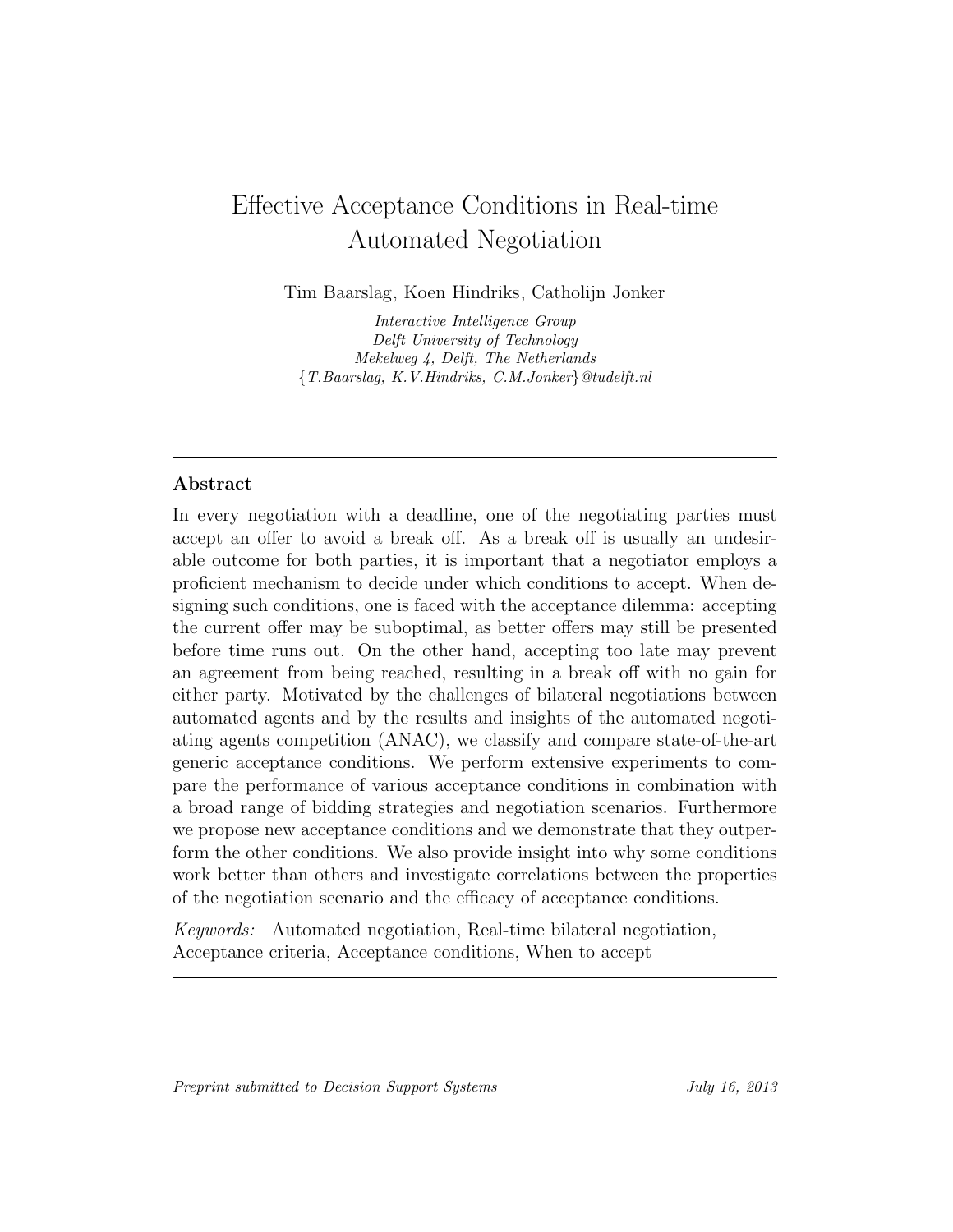# Effective Acceptance Conditions in Real-time Automated Negotiation

Tim Baarslag, Koen Hindriks, Catholijn Jonker

Interactive Intelligence Group Delft University of Technology Mekelweg 4, Delft, The Netherlands {T.Baarslag, K.V.Hindriks, C.M.Jonker}@tudelft.nl

# Abstract

In every negotiation with a deadline, one of the negotiating parties must accept an offer to avoid a break off. As a break off is usually an undesirable outcome for both parties, it is important that a negotiator employs a proficient mechanism to decide under which conditions to accept. When designing such conditions, one is faced with the acceptance dilemma: accepting the current offer may be suboptimal, as better offers may still be presented before time runs out. On the other hand, accepting too late may prevent an agreement from being reached, resulting in a break off with no gain for either party. Motivated by the challenges of bilateral negotiations between automated agents and by the results and insights of the automated negotiating agents competition (ANAC), we classify and compare state-of-the-art generic acceptance conditions. We perform extensive experiments to compare the performance of various acceptance conditions in combination with a broad range of bidding strategies and negotiation scenarios. Furthermore we propose new acceptance conditions and we demonstrate that they outperform the other conditions. We also provide insight into why some conditions work better than others and investigate correlations between the properties of the negotiation scenario and the efficacy of acceptance conditions.

Keywords: Automated negotiation, Real-time bilateral negotiation, Acceptance criteria, Acceptance conditions, When to accept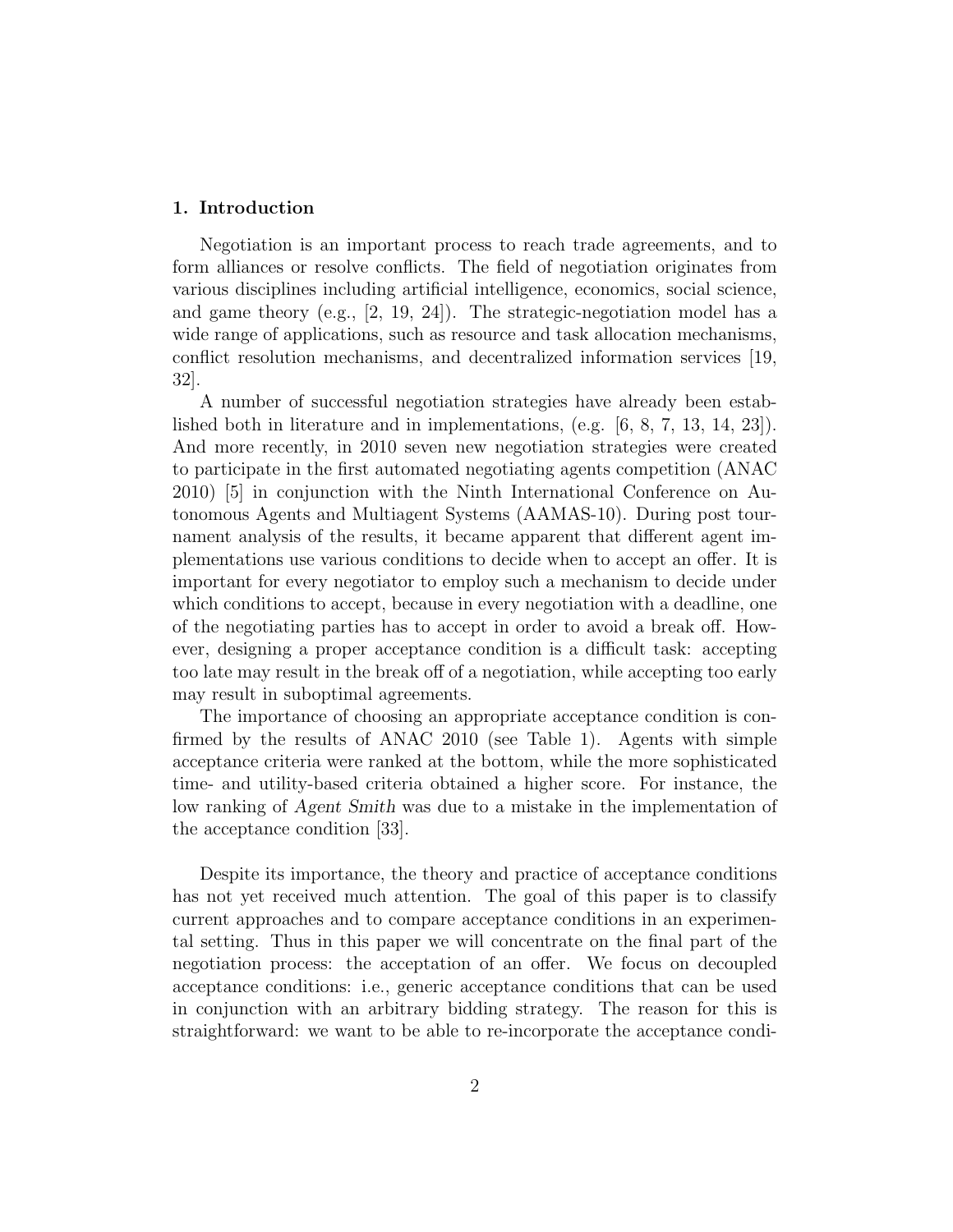## 1. Introduction

Negotiation is an important process to reach trade agreements, and to form alliances or resolve conflicts. The field of negotiation originates from various disciplines including artificial intelligence, economics, social science, and game theory (e.g.,  $[2, 19, 24]$ ). The strategic-negotiation model has a wide range of applications, such as resource and task allocation mechanisms, conflict resolution mechanisms, and decentralized information services [19, 32].

A number of successful negotiation strategies have already been established both in literature and in implementations, (e.g. [6, 8, 7, 13, 14, 23]). And more recently, in 2010 seven new negotiation strategies were created to participate in the first automated negotiating agents competition (ANAC 2010) [5] in conjunction with the Ninth International Conference on Autonomous Agents and Multiagent Systems (AAMAS-10). During post tournament analysis of the results, it became apparent that different agent implementations use various conditions to decide when to accept an offer. It is important for every negotiator to employ such a mechanism to decide under which conditions to accept, because in every negotiation with a deadline, one of the negotiating parties has to accept in order to avoid a break off. However, designing a proper acceptance condition is a difficult task: accepting too late may result in the break off of a negotiation, while accepting too early may result in suboptimal agreements.

The importance of choosing an appropriate acceptance condition is confirmed by the results of ANAC 2010 (see Table 1). Agents with simple acceptance criteria were ranked at the bottom, while the more sophisticated time- and utility-based criteria obtained a higher score. For instance, the low ranking of Agent Smith was due to a mistake in the implementation of the acceptance condition [33].

Despite its importance, the theory and practice of acceptance conditions has not yet received much attention. The goal of this paper is to classify current approaches and to compare acceptance conditions in an experimental setting. Thus in this paper we will concentrate on the final part of the negotiation process: the acceptation of an offer. We focus on decoupled acceptance conditions: i.e., generic acceptance conditions that can be used in conjunction with an arbitrary bidding strategy. The reason for this is straightforward: we want to be able to re-incorporate the acceptance condi-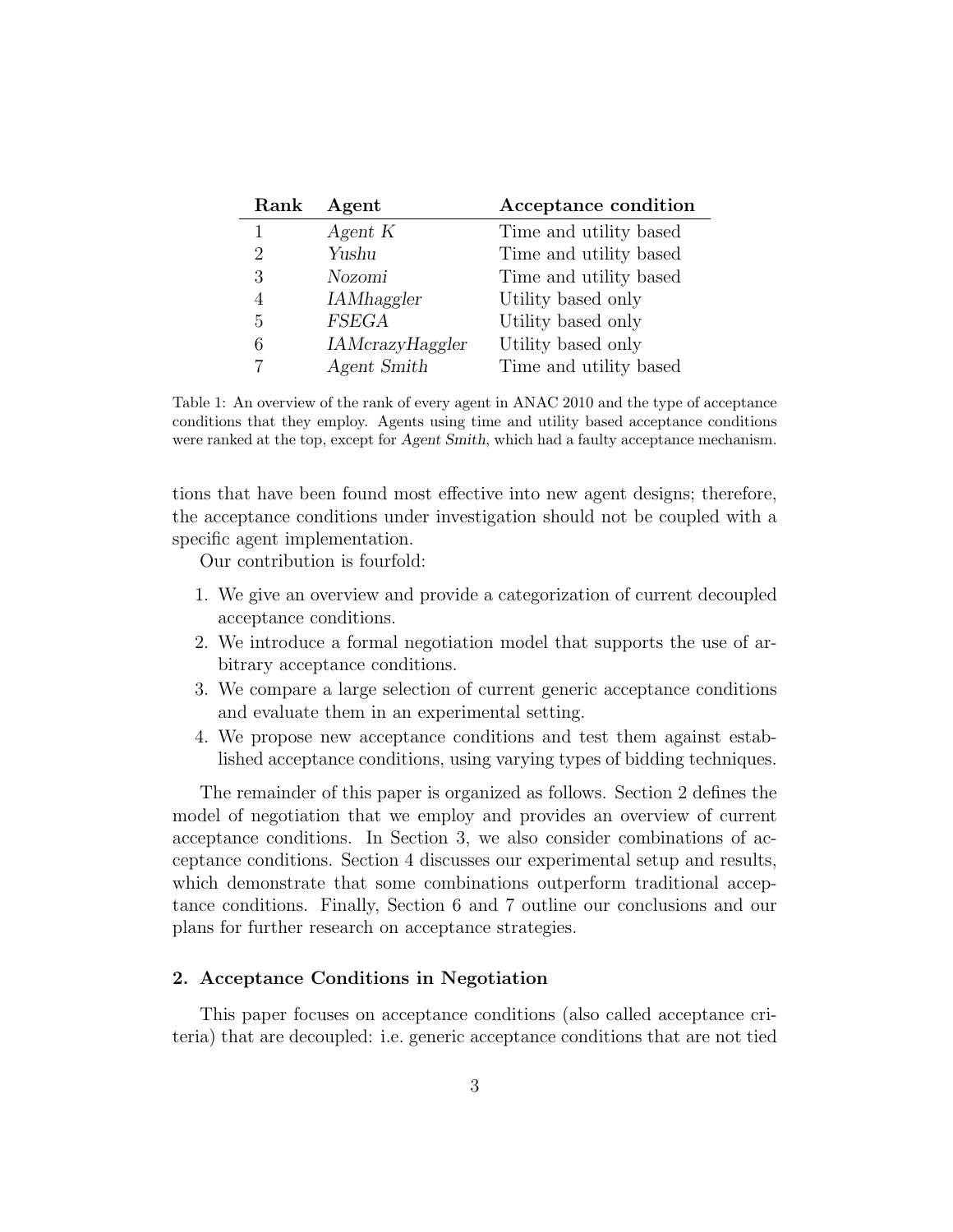| Rank | Agent                  | Acceptance condition   |
|------|------------------------|------------------------|
| 1    | Agent K                | Time and utility based |
| 2    | Yushu                  | Time and utility based |
| 3    | Nozomi                 | Time and utility based |
| 4    | <i>IAMhaggler</i>      | Utility based only     |
| 5    | <b>FSEGA</b>           | Utility based only     |
| 6    | <i>IAMcrazyHaggler</i> | Utility based only     |
|      | Agent Smith            | Time and utility based |

Table 1: An overview of the rank of every agent in ANAC 2010 and the type of acceptance conditions that they employ. Agents using time and utility based acceptance conditions were ranked at the top, except for Agent Smith, which had a faulty acceptance mechanism.

tions that have been found most effective into new agent designs; therefore, the acceptance conditions under investigation should not be coupled with a specific agent implementation.

Our contribution is fourfold:

- 1. We give an overview and provide a categorization of current decoupled acceptance conditions.
- 2. We introduce a formal negotiation model that supports the use of arbitrary acceptance conditions.
- 3. We compare a large selection of current generic acceptance conditions and evaluate them in an experimental setting.
- 4. We propose new acceptance conditions and test them against established acceptance conditions, using varying types of bidding techniques.

The remainder of this paper is organized as follows. Section 2 defines the model of negotiation that we employ and provides an overview of current acceptance conditions. In Section 3, we also consider combinations of acceptance conditions. Section 4 discusses our experimental setup and results, which demonstrate that some combinations outperform traditional acceptance conditions. Finally, Section 6 and 7 outline our conclusions and our plans for further research on acceptance strategies.

# 2. Acceptance Conditions in Negotiation

This paper focuses on acceptance conditions (also called acceptance criteria) that are decoupled: i.e. generic acceptance conditions that are not tied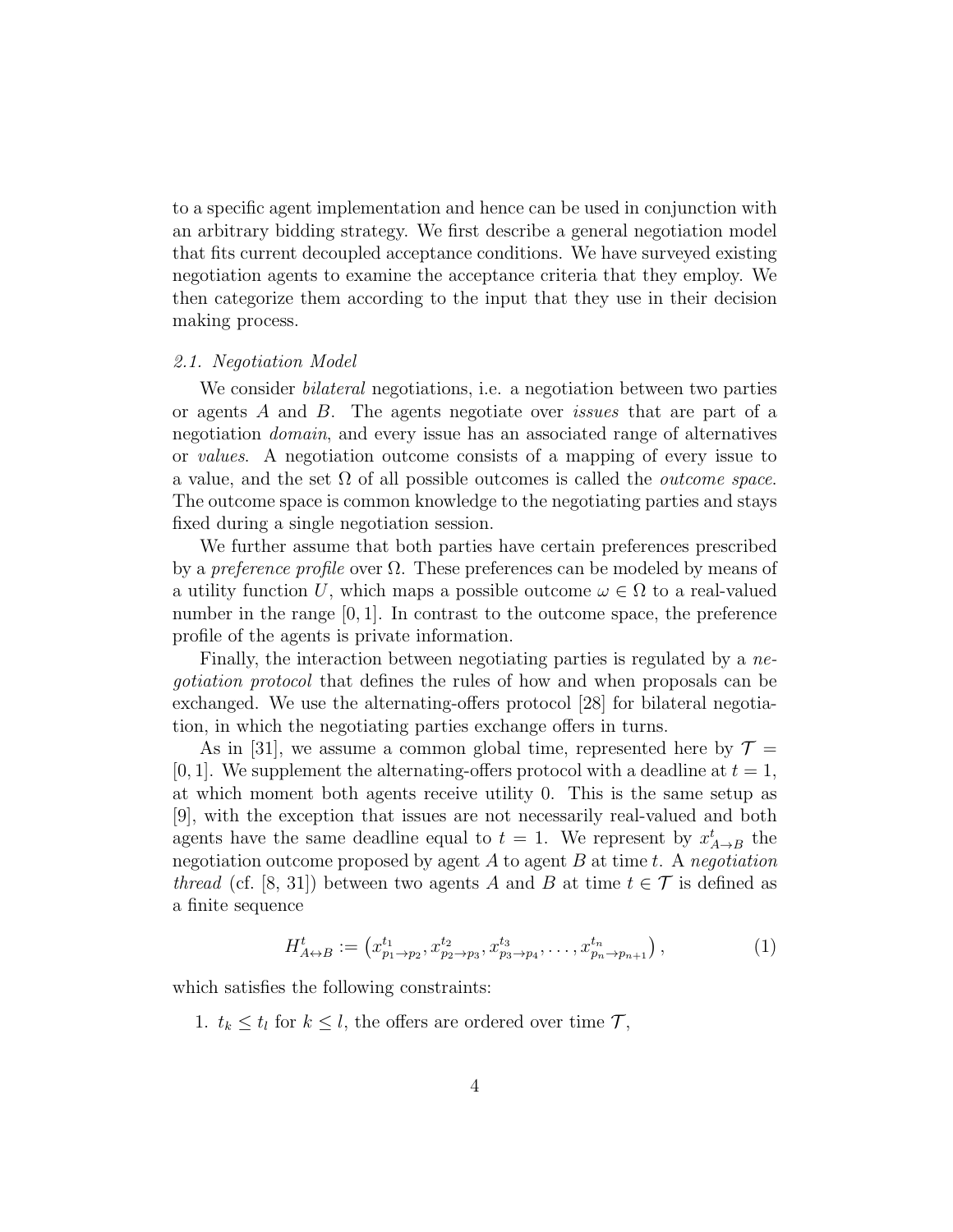to a specific agent implementation and hence can be used in conjunction with an arbitrary bidding strategy. We first describe a general negotiation model that fits current decoupled acceptance conditions. We have surveyed existing negotiation agents to examine the acceptance criteria that they employ. We then categorize them according to the input that they use in their decision making process.

#### 2.1. Negotiation Model

We consider *bilateral* negotiations, i.e. a negotiation between two parties or agents A and B. The agents negotiate over issues that are part of a negotiation domain, and every issue has an associated range of alternatives or values. A negotiation outcome consists of a mapping of every issue to a value, and the set  $\Omega$  of all possible outcomes is called the *outcome space*. The outcome space is common knowledge to the negotiating parties and stays fixed during a single negotiation session.

We further assume that both parties have certain preferences prescribed by a *preference profile* over  $\Omega$ . These preferences can be modeled by means of a utility function U, which maps a possible outcome  $\omega \in \Omega$  to a real-valued number in the range  $[0, 1]$ . In contrast to the outcome space, the preference profile of the agents is private information.

Finally, the interaction between negotiating parties is regulated by a negotiation protocol that defines the rules of how and when proposals can be exchanged. We use the alternating-offers protocol [28] for bilateral negotiation, in which the negotiating parties exchange offers in turns.

As in [31], we assume a common global time, represented here by  $\mathcal{T} =$ [0, 1]. We supplement the alternating-offers protocol with a deadline at  $t = 1$ , at which moment both agents receive utility 0. This is the same setup as [9], with the exception that issues are not necessarily real-valued and both agents have the same deadline equal to  $t = 1$ . We represent by  $x_{A\rightarrow B}^t$  the negotiation outcome proposed by agent  $A$  to agent  $B$  at time  $t$ . A negotiation thread (cf. [8, 31]) between two agents A and B at time  $t \in \mathcal{T}$  is defined as a finite sequence

$$
H_{A \leftrightarrow B}^{t} := \left( x_{p_1 \to p_2}^{t_1}, x_{p_2 \to p_3}^{t_2}, x_{p_3 \to p_4}^{t_3}, \dots, x_{p_n \to p_{n+1}}^{t_n} \right), \tag{1}
$$

which satisfies the following constraints:

1.  $t_k \leq t_l$  for  $k \leq l$ , the offers are ordered over time  $\mathcal{T}$ ,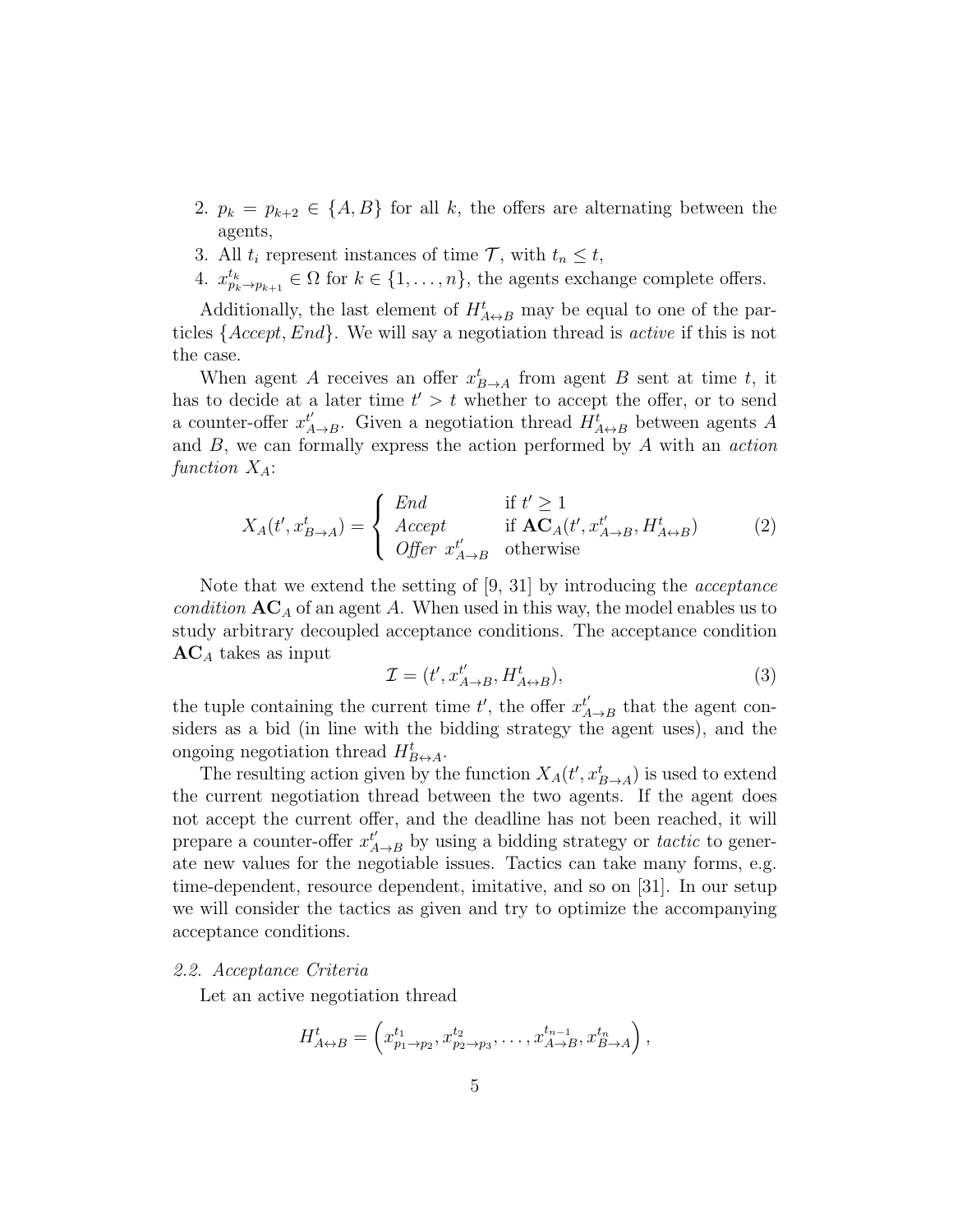- 2.  $p_k = p_{k+2} \in \{A, B\}$  for all k, the offers are alternating between the agents,
- 3. All  $t_i$  represent instances of time  $\mathcal{T}$ , with  $t_n \leq t$ ,
- 4.  $x_{p_k \to p_{k+1}}^{t_k} \in \Omega$  for  $k \in \{1, \ldots, n\}$ , the agents exchange complete offers.

Additionally, the last element of  $H_{A\leftrightarrow B}^{t}$  may be equal to one of the particles {Accept, End}. We will say a negotiation thread is active if this is not the case.

When agent A receives an offer  $x_{B\to A}^t$  from agent B sent at time t, it has to decide at a later time  $t' > t$  whether to accept the offer, or to send a counter-offer  $x_{A\to B}^{t'}$ . Given a negotiation thread  $H_{A\leftrightarrow B}^{t}$  between agents A and  $B$ , we can formally express the action performed by  $A$  with an  $action$ function  $X_A$ :

$$
X_A(t', x^t_{B \to A}) = \begin{cases} End & \text{if } t' \ge 1\\ Accept & \text{if } AC_A(t', x^t_{A \to B}, H^t_{A \leftrightarrow B})\\ Offer \ x^t_{A \to B} & \text{otherwise} \end{cases}
$$
(2)

Note that we extend the setting of [9, 31] by introducing the acceptance condition  $AC_A$  of an agent A. When used in this way, the model enables us to study arbitrary decoupled acceptance conditions. The acceptance condition  $AC_A$  takes as input

$$
\mathcal{I} = (t', x_{A \to B}^{t'}, H_{A \leftrightarrow B}^{t}),\tag{3}
$$

the tuple containing the current time  $t'$ , the offer  $x_{A\to B}^{t'}$  that the agent considers as a bid (in line with the bidding strategy the agent uses), and the ongoing negotiation thread  $H_{B\leftrightarrow A}^t$ .

The resulting action given by the function  $X_A(t', x^t_{B\to A})$  is used to extend the current negotiation thread between the two agents. If the agent does not accept the current offer, and the deadline has not been reached, it will prepare a counter-offer  $x_{A\to B}^{t'}$  by using a bidding strategy or *tactic* to generate new values for the negotiable issues. Tactics can take many forms, e.g. time-dependent, resource dependent, imitative, and so on [31]. In our setup we will consider the tactics as given and try to optimize the accompanying acceptance conditions.

#### 2.2. Acceptance Criteria

Let an active negotiation thread

$$
H^t_{A \leftrightarrow B} = \left( x^{t_1}_{p_1 \to p_2}, x^{t_2}_{p_2 \to p_3}, \dots, x^{t_{n-1}}_{A \to B}, x^{t_n}_{B \to A} \right),
$$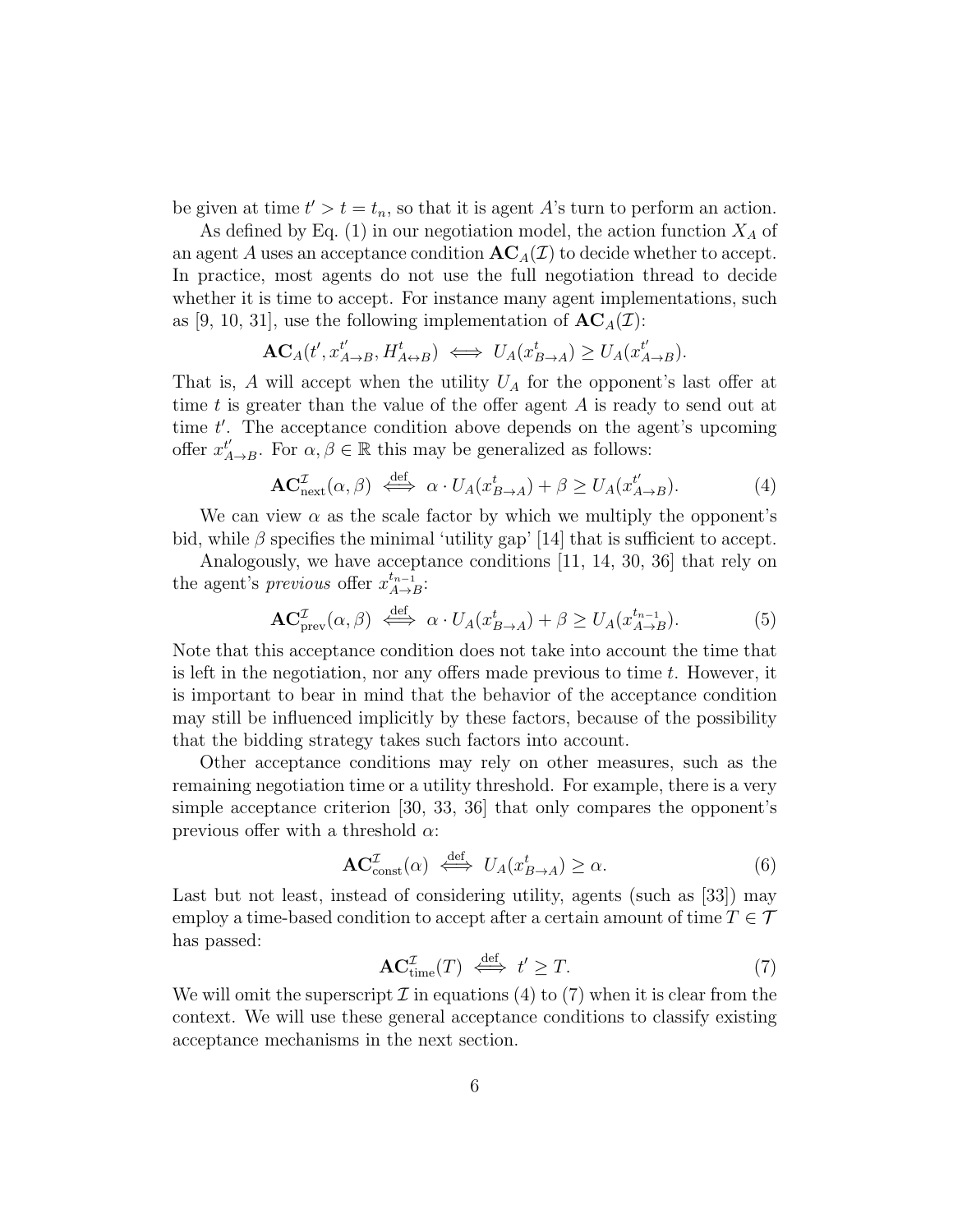be given at time  $t' > t = t_n$ , so that it is agent A's turn to perform an action.

As defined by Eq. (1) in our negotiation model, the action function  $X_A$  of an agent A uses an acceptance condition  $AC_A(\mathcal{I})$  to decide whether to accept. In practice, most agents do not use the full negotiation thread to decide whether it is time to accept. For instance many agent implementations, such as [9, 10, 31], use the following implementation of  $AC_A(\mathcal{I})$ :

$$
\mathbf{AC}_A(t', x_{A\to B}^{t'}, H_{A\leftrightarrow B}^t) \iff U_A(x_{B\to A}^t) \ge U_A(x_{A\to B}^{t'}).
$$

That is, A will accept when the utility  $U_A$  for the opponent's last offer at time t is greater than the value of the offer agent A is ready to send out at time  $t'$ . The acceptance condition above depends on the agent's upcoming offer  $x_{A\rightarrow B}^{t'}$ . For  $\alpha, \beta \in \mathbb{R}$  this may be generalized as follows:

$$
\mathbf{AC}_{\text{next}}^{\mathcal{I}}(\alpha,\beta) \stackrel{\text{def}}{\iff} \alpha \cdot U_A(x_{B\to A}^t) + \beta \ge U_A(x_{A\to B}^{t'}).
$$
 (4)

We can view  $\alpha$  as the scale factor by which we multiply the opponent's bid, while  $\beta$  specifies the minimal 'utility gap' [14] that is sufficient to accept.

Analogously, we have acceptance conditions [11, 14, 30, 36] that rely on the agent's *previous* offer  $x_{A\rightarrow i}^{t_{n-1}}$  $\overset{t_{n-1}}{A\rightarrow B}$ :

$$
\mathbf{AC}_{\text{prev}}^{\mathcal{I}}(\alpha,\beta) \stackrel{\text{def}}{\iff} \alpha \cdot U_A(x_{B\to A}^t) + \beta \ge U_A(x_{A\to B}^{t_{n-1}}). \tag{5}
$$

Note that this acceptance condition does not take into account the time that is left in the negotiation, nor any offers made previous to time  $t$ . However, it is important to bear in mind that the behavior of the acceptance condition may still be influenced implicitly by these factors, because of the possibility that the bidding strategy takes such factors into account.

Other acceptance conditions may rely on other measures, such as the remaining negotiation time or a utility threshold. For example, there is a very simple acceptance criterion [30, 33, 36] that only compares the opponent's previous offer with a threshold  $\alpha$ :

$$
\mathbf{AC}_{\mathrm{const}}^{\mathcal{I}}(\alpha) \iff U_A(x_{B \to A}^t) \ge \alpha. \tag{6}
$$

Last but not least, instead of considering utility, agents (such as [33]) may employ a time-based condition to accept after a certain amount of time  $T \in \mathcal{T}$ has passed:

$$
\mathbf{AC}_{\mathrm{time}}^{\mathcal{I}}(T) \stackrel{\text{def}}{\iff} t' \ge T. \tag{7}
$$

We will omit the superscript  $\mathcal I$  in equations (4) to (7) when it is clear from the context. We will use these general acceptance conditions to classify existing acceptance mechanisms in the next section.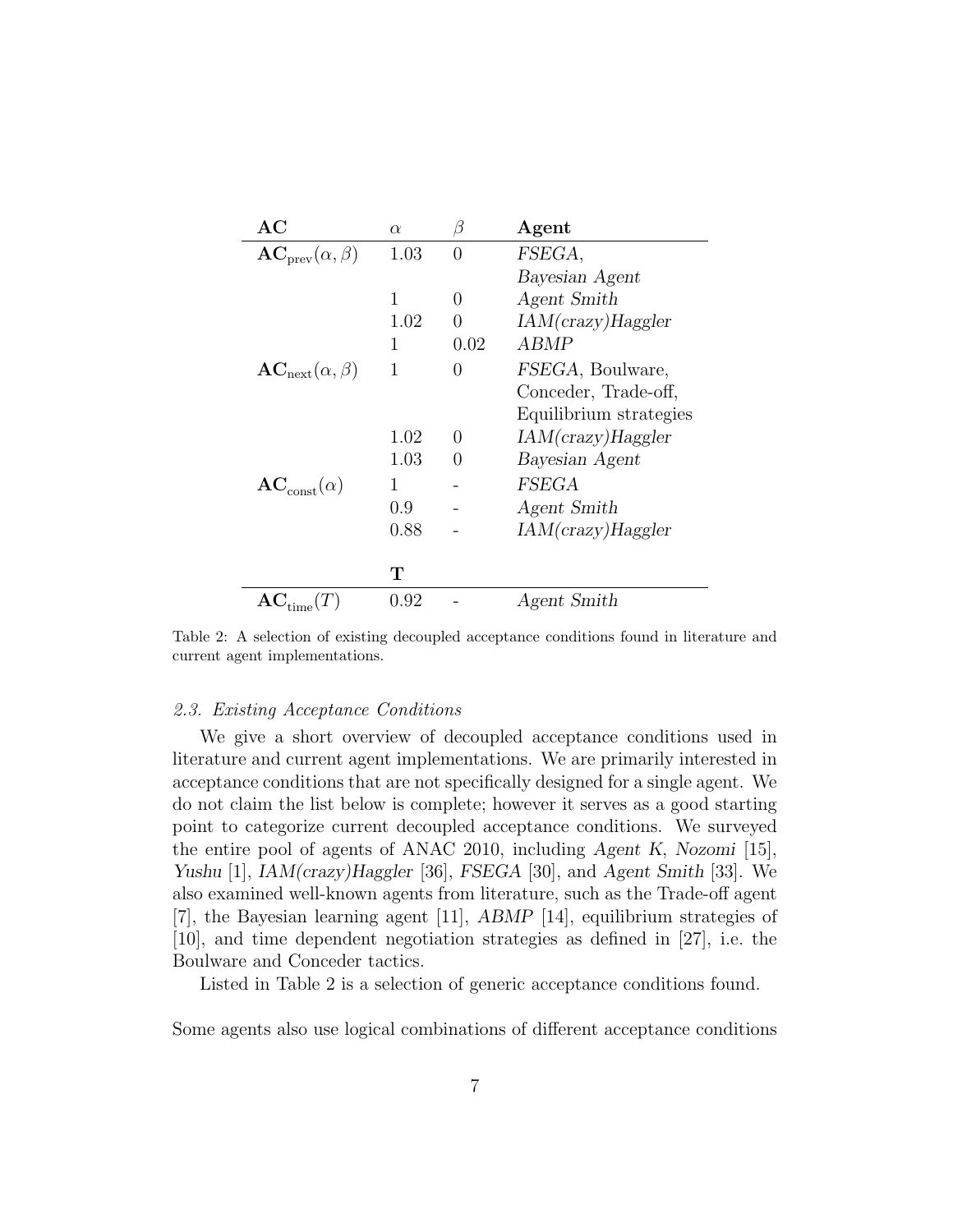| AC                                | $\alpha$ | В    | Agent                  |
|-----------------------------------|----------|------|------------------------|
| $AC_{\text{prev}}(\alpha, \beta)$ | 1.03     | 0    | FSEGA,                 |
|                                   |          |      | Bayesian Agent         |
|                                   | 1        | 0    | Agent Smith            |
|                                   | 1.02     | 0    | IAM(crazy)Hagger       |
|                                   | 1        | 0.02 | <b>ABMP</b>            |
| $AC_{\text{next}}(\alpha, \beta)$ | 1        | 0    | FSEGA, Boulware,       |
|                                   |          |      | Conceder, Trade-off,   |
|                                   |          |      | Equilibrium strategies |
|                                   | 1.02     | 0    | IAM(crazy)Hagger       |
|                                   | 1.03     | 0    | Bayesian Agent         |
| $AC_{const}(\alpha)$              | 1        |      | FSEGA                  |
|                                   | 0.9      |      | <b>Agent Smith</b>     |
|                                   | 0.88     |      | IAM(crazy)Hagger       |
|                                   |          |      |                        |
|                                   | T        |      |                        |
| $AC_{time}(T)$                    | 0.92     |      | Agent Smith            |

Table 2: A selection of existing decoupled acceptance conditions found in literature and current agent implementations.

## 2.3. Existing Acceptance Conditions

We give a short overview of decoupled acceptance conditions used in literature and current agent implementations. We are primarily interested in acceptance conditions that are not specifically designed for a single agent. We do not claim the list below is complete; however it serves as a good starting point to categorize current decoupled acceptance conditions. We surveyed the entire pool of agents of ANAC 2010, including Agent K, Nozomi [15], Yushu [1], *IAM(crazy)Haggler* [36], *FSEGA* [30], and *Agent Smith* [33]. We also examined well-known agents from literature, such as the Trade-off agent [7], the Bayesian learning agent [11], ABMP [14], equilibrium strategies of [10], and time dependent negotiation strategies as defined in [27], i.e. the Boulware and Conceder tactics.

Listed in Table 2 is a selection of generic acceptance conditions found.

Some agents also use logical combinations of different acceptance conditions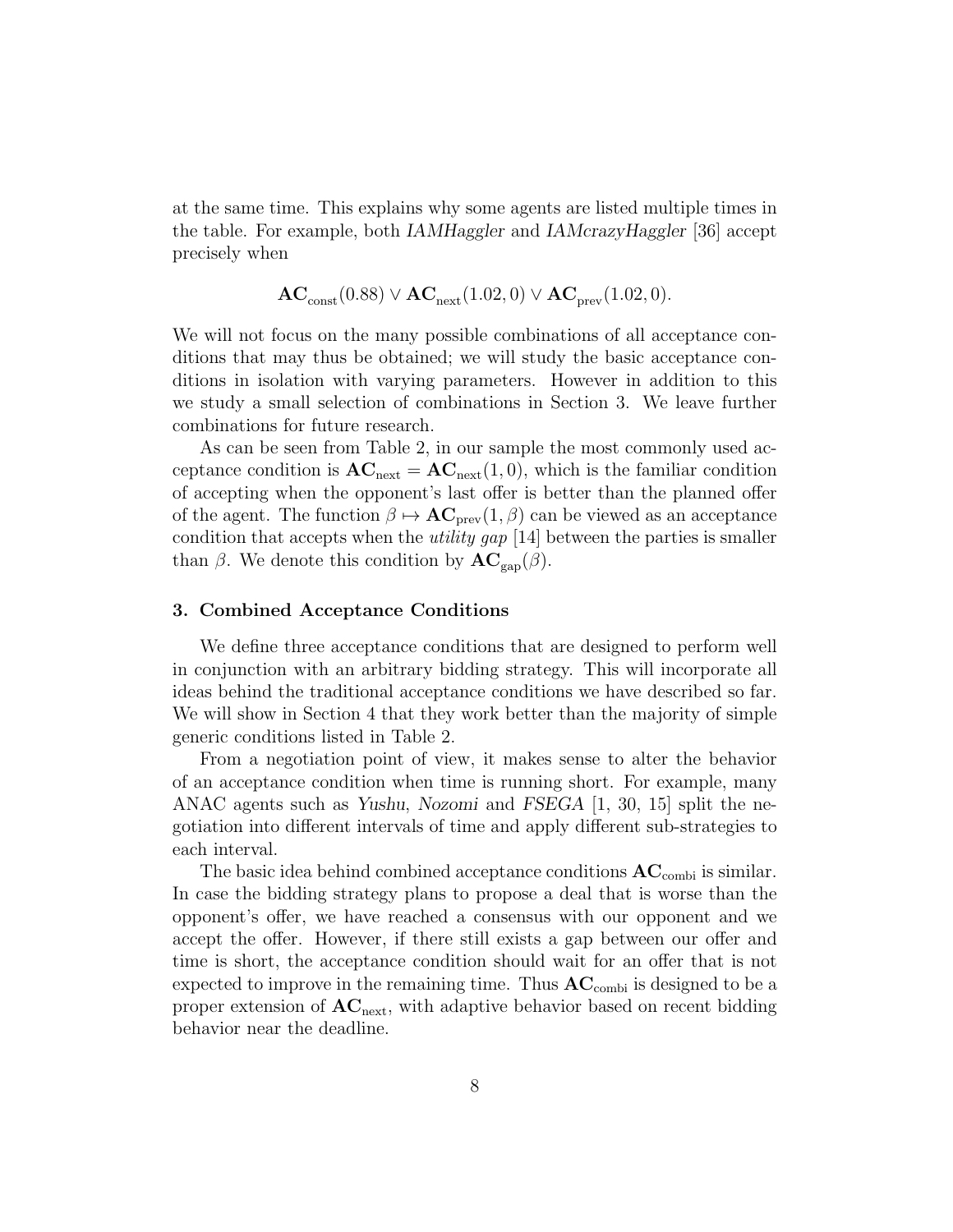at the same time. This explains why some agents are listed multiple times in the table. For example, both IAMHaggler and IAMcrazyHaggler [36] accept precisely when

$$
\text{AC}_{\text{const}}(0.88) \vee \text{AC}_{\text{next}}(1.02, 0) \vee \text{AC}_{\text{prev}}(1.02, 0).
$$

We will not focus on the many possible combinations of all acceptance conditions that may thus be obtained; we will study the basic acceptance conditions in isolation with varying parameters. However in addition to this we study a small selection of combinations in Section 3. We leave further combinations for future research.

As can be seen from Table 2, in our sample the most commonly used acceptance condition is  $AC_{\text{next}} = AC_{\text{next}}(1, 0)$ , which is the familiar condition of accepting when the opponent's last offer is better than the planned offer of the agent. The function  $\beta \mapsto AC_{prev}(1, \beta)$  can be viewed as an acceptance condition that accepts when the utility gap [14] between the parties is smaller than  $\beta$ . We denote this condition by  $AC_{\text{gap}}(\beta)$ .

### 3. Combined Acceptance Conditions

We define three acceptance conditions that are designed to perform well in conjunction with an arbitrary bidding strategy. This will incorporate all ideas behind the traditional acceptance conditions we have described so far. We will show in Section 4 that they work better than the majority of simple generic conditions listed in Table 2.

From a negotiation point of view, it makes sense to alter the behavior of an acceptance condition when time is running short. For example, many ANAC agents such as Yushu, Nozomi and  $FSEGA$  [1, 30, 15] split the negotiation into different intervals of time and apply different sub-strategies to each interval.

The basic idea behind combined acceptance conditions  $AC_{\text{comb}}$  is similar. In case the bidding strategy plans to propose a deal that is worse than the opponent's offer, we have reached a consensus with our opponent and we accept the offer. However, if there still exists a gap between our offer and time is short, the acceptance condition should wait for an offer that is not expected to improve in the remaining time. Thus  $AC_{\text{combi}}$  is designed to be a proper extension of  $AC<sub>next</sub>$ , with adaptive behavior based on recent bidding behavior near the deadline.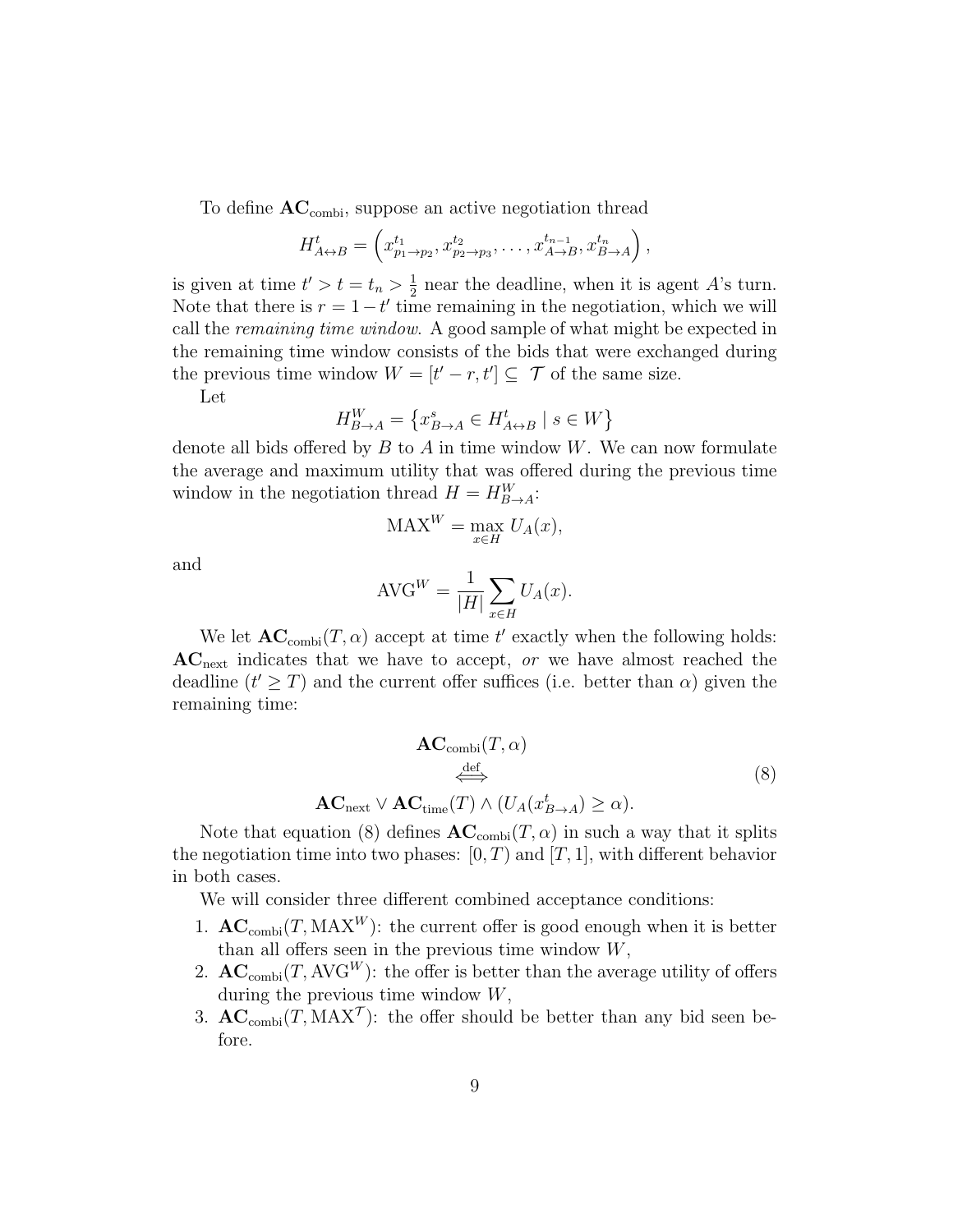To define  $AC_{\text{comb}}$ , suppose an active negotiation thread

$$
H^t_{A\leftrightarrow B} = \left(x_{p_1\to p_2}^{t_1}, x_{p_2\to p_3}^{t_2}, \ldots, x_{A\to B}^{t_{n-1}}, x_{B\to A}^{t_n}\right),
$$

is given at time  $t' > t = t_n > \frac{1}{2}$  $\frac{1}{2}$  near the deadline, when it is agent A's turn. Note that there is  $r = 1 - t'$  time remaining in the negotiation, which we will call the remaining time window. A good sample of what might be expected in the remaining time window consists of the bids that were exchanged during the previous time window  $W = [t' - r, t'] \subseteq \mathcal{T}$  of the same size.

Let

$$
H_{B\to A}^W = \left\{ x_{B\to A}^s \in H_{A\leftrightarrow B}^t \mid s \in W \right\}
$$

denote all bids offered by  $B$  to  $A$  in time window  $W$ . We can now formulate the average and maximum utility that was offered during the previous time window in the negotiation thread  $H = H_{B\to A}^W$ :

$$
\text{MAX}^W = \max_{x \in H} U_A(x),
$$

and

$$
AVG^{W} = \frac{1}{|H|} \sum_{x \in H} U_{A}(x).
$$

We let  $AC_{\text{combi}}(T, \alpha)$  accept at time t' exactly when the following holds:  $\mathbf{AC}_{\text{next}}$  indicates that we have to accept,  $\emph{or}$  we have almost reached the deadline  $(t' \geq T)$  and the current offer suffices (i.e. better than  $\alpha$ ) given the remaining time:

$$
\mathbf{AC}_{\text{combi}}(T, \alpha)
$$
  
\n
$$
\xleftarrow{\text{def}} \{\text{def}} \tag{8}
$$
\n
$$
\mathbf{AC}_{\text{next}} \vee \mathbf{AC}_{\text{time}}(T) \wedge (U_A(x_{B \to A}^t) \ge \alpha).
$$

Note that equation (8) defines  $AC_{\text{combi}}(T, \alpha)$  in such a way that it splits the negotiation time into two phases:  $[0, T)$  and  $[T, 1]$ , with different behavior in both cases.

We will consider three different combined acceptance conditions:

- 1.  $AC_{\text{combi}}(T, MAX^W)$ : the current offer is good enough when it is better than all offers seen in the previous time window  $W$ ,
- 2.  $\mathbf{AC}_{\text{combi}}(T, \text{AVG}^W)$ : the offer is better than the average utility of offers during the previous time window  $W$ ,
- 3.  $AC_{\text{combi}}(T, MAX^{\mathcal{T}})$ : the offer should be better than any bid seen before.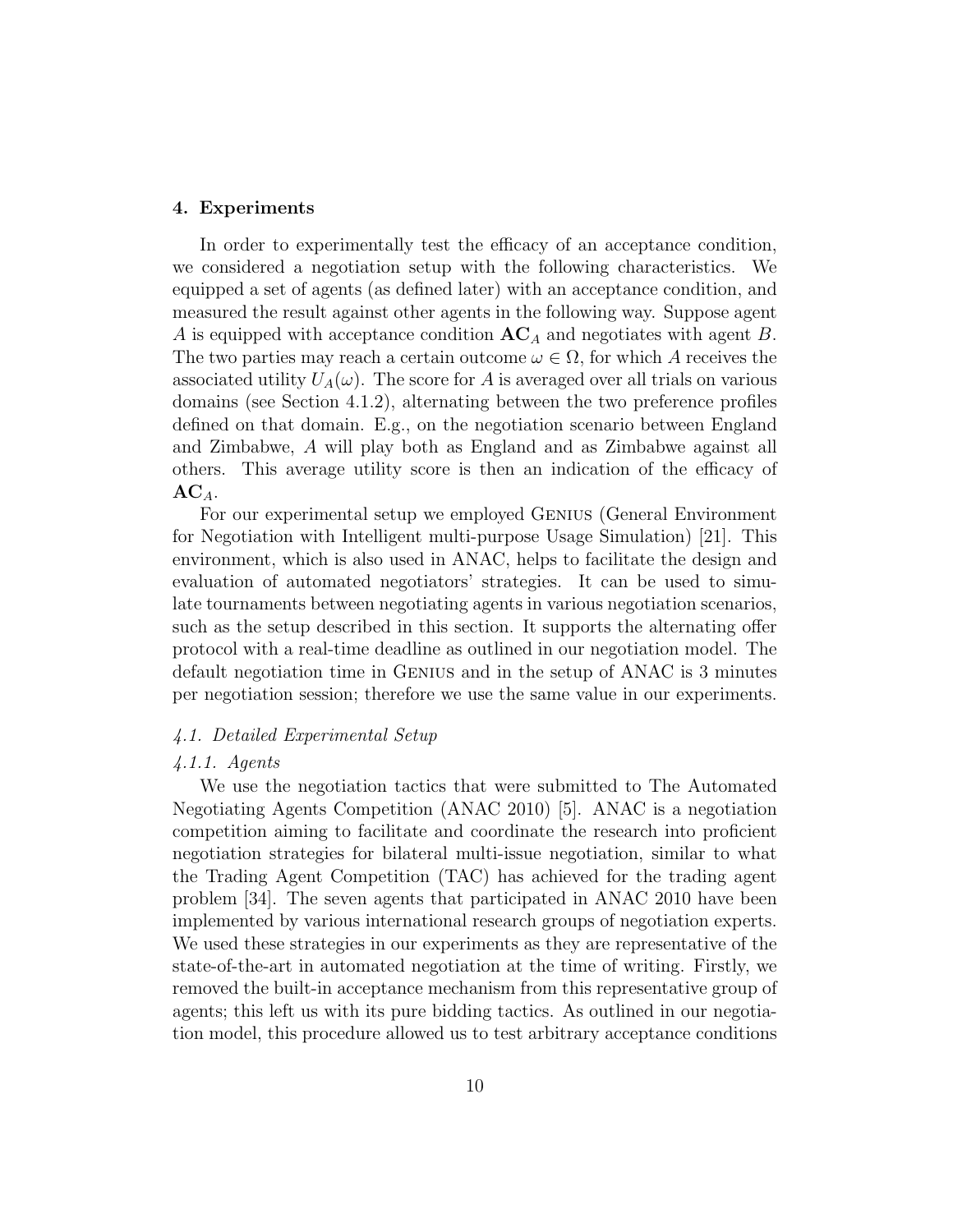#### 4. Experiments

In order to experimentally test the efficacy of an acceptance condition, we considered a negotiation setup with the following characteristics. We equipped a set of agents (as defined later) with an acceptance condition, and measured the result against other agents in the following way. Suppose agent A is equipped with acceptance condition  $AC_A$  and negotiates with agent B. The two parties may reach a certain outcome  $\omega \in \Omega$ , for which A receives the associated utility  $U_A(\omega)$ . The score for A is averaged over all trials on various domains (see Section 4.1.2), alternating between the two preference profiles defined on that domain. E.g., on the negotiation scenario between England and Zimbabwe, A will play both as England and as Zimbabwe against all others. This average utility score is then an indication of the efficacy of  $AC_A$ .

For our experimental setup we employed GENIUS (General Environment for Negotiation with Intelligent multi-purpose Usage Simulation) [21]. This environment, which is also used in ANAC, helps to facilitate the design and evaluation of automated negotiators' strategies. It can be used to simulate tournaments between negotiating agents in various negotiation scenarios, such as the setup described in this section. It supports the alternating offer protocol with a real-time deadline as outlined in our negotiation model. The default negotiation time in Genius and in the setup of ANAC is 3 minutes per negotiation session; therefore we use the same value in our experiments.

# 4.1. Detailed Experimental Setup

### 4.1.1. Agents

We use the negotiation tactics that were submitted to The Automated Negotiating Agents Competition (ANAC 2010) [5]. ANAC is a negotiation competition aiming to facilitate and coordinate the research into proficient negotiation strategies for bilateral multi-issue negotiation, similar to what the Trading Agent Competition (TAC) has achieved for the trading agent problem [34]. The seven agents that participated in ANAC 2010 have been implemented by various international research groups of negotiation experts. We used these strategies in our experiments as they are representative of the state-of-the-art in automated negotiation at the time of writing. Firstly, we removed the built-in acceptance mechanism from this representative group of agents; this left us with its pure bidding tactics. As outlined in our negotiation model, this procedure allowed us to test arbitrary acceptance conditions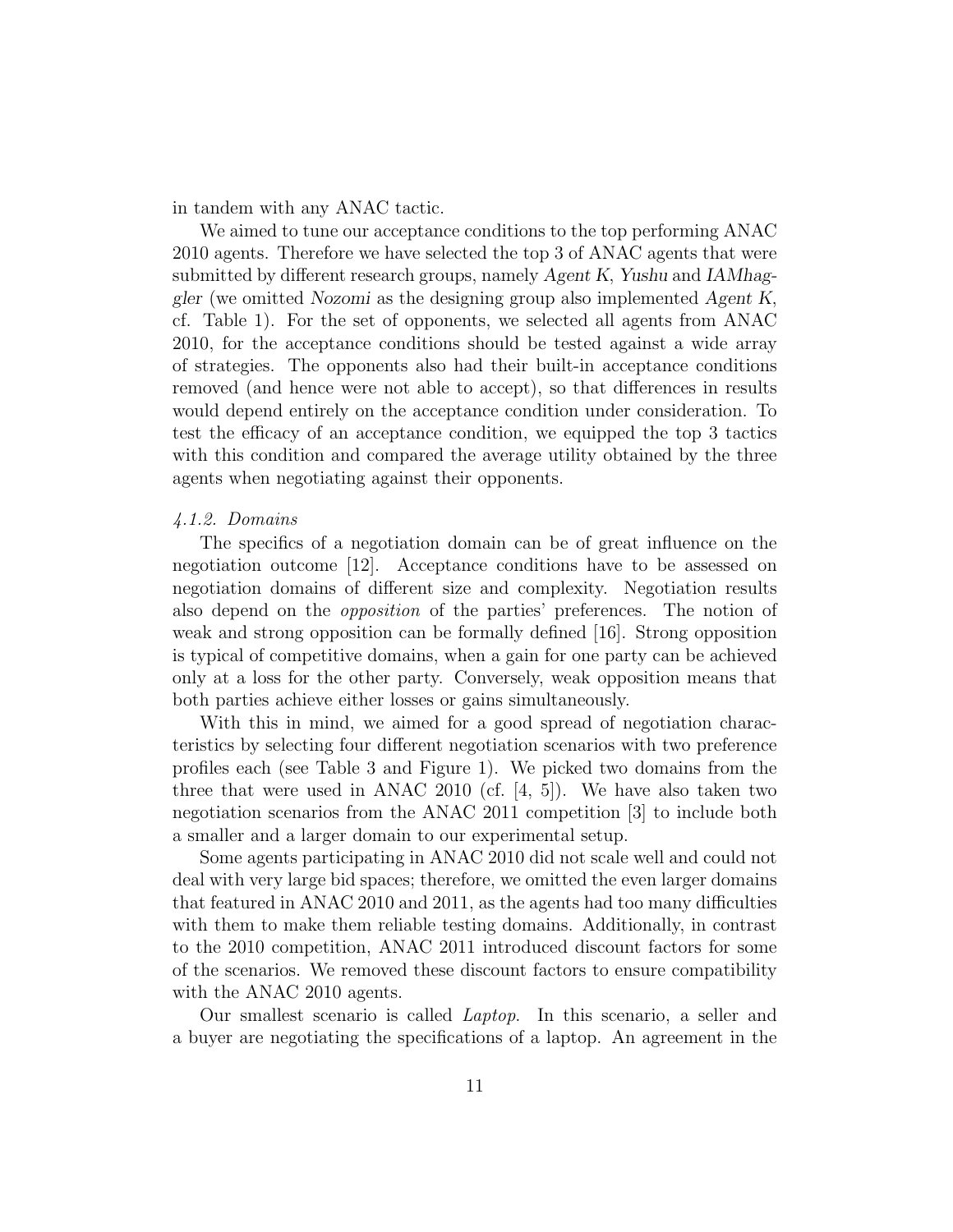in tandem with any ANAC tactic.

We aimed to tune our acceptance conditions to the top performing ANAC 2010 agents. Therefore we have selected the top 3 of ANAC agents that were submitted by different research groups, namely Agent K, Yushu and IAMhaggler (we omitted Nozomi as the designing group also implemented Agent  $K$ , cf. Table 1). For the set of opponents, we selected all agents from ANAC 2010, for the acceptance conditions should be tested against a wide array of strategies. The opponents also had their built-in acceptance conditions removed (and hence were not able to accept), so that differences in results would depend entirely on the acceptance condition under consideration. To test the efficacy of an acceptance condition, we equipped the top 3 tactics with this condition and compared the average utility obtained by the three agents when negotiating against their opponents.

#### 4.1.2. Domains

The specifics of a negotiation domain can be of great influence on the negotiation outcome [12]. Acceptance conditions have to be assessed on negotiation domains of different size and complexity. Negotiation results also depend on the opposition of the parties' preferences. The notion of weak and strong opposition can be formally defined [16]. Strong opposition is typical of competitive domains, when a gain for one party can be achieved only at a loss for the other party. Conversely, weak opposition means that both parties achieve either losses or gains simultaneously.

With this in mind, we aimed for a good spread of negotiation characteristics by selecting four different negotiation scenarios with two preference profiles each (see Table 3 and Figure 1). We picked two domains from the three that were used in ANAC 2010 (cf.  $[4, 5]$ ). We have also taken two negotiation scenarios from the ANAC 2011 competition [3] to include both a smaller and a larger domain to our experimental setup.

Some agents participating in ANAC 2010 did not scale well and could not deal with very large bid spaces; therefore, we omitted the even larger domains that featured in ANAC 2010 and 2011, as the agents had too many difficulties with them to make them reliable testing domains. Additionally, in contrast to the 2010 competition, ANAC 2011 introduced discount factors for some of the scenarios. We removed these discount factors to ensure compatibility with the ANAC 2010 agents.

Our smallest scenario is called Laptop. In this scenario, a seller and a buyer are negotiating the specifications of a laptop. An agreement in the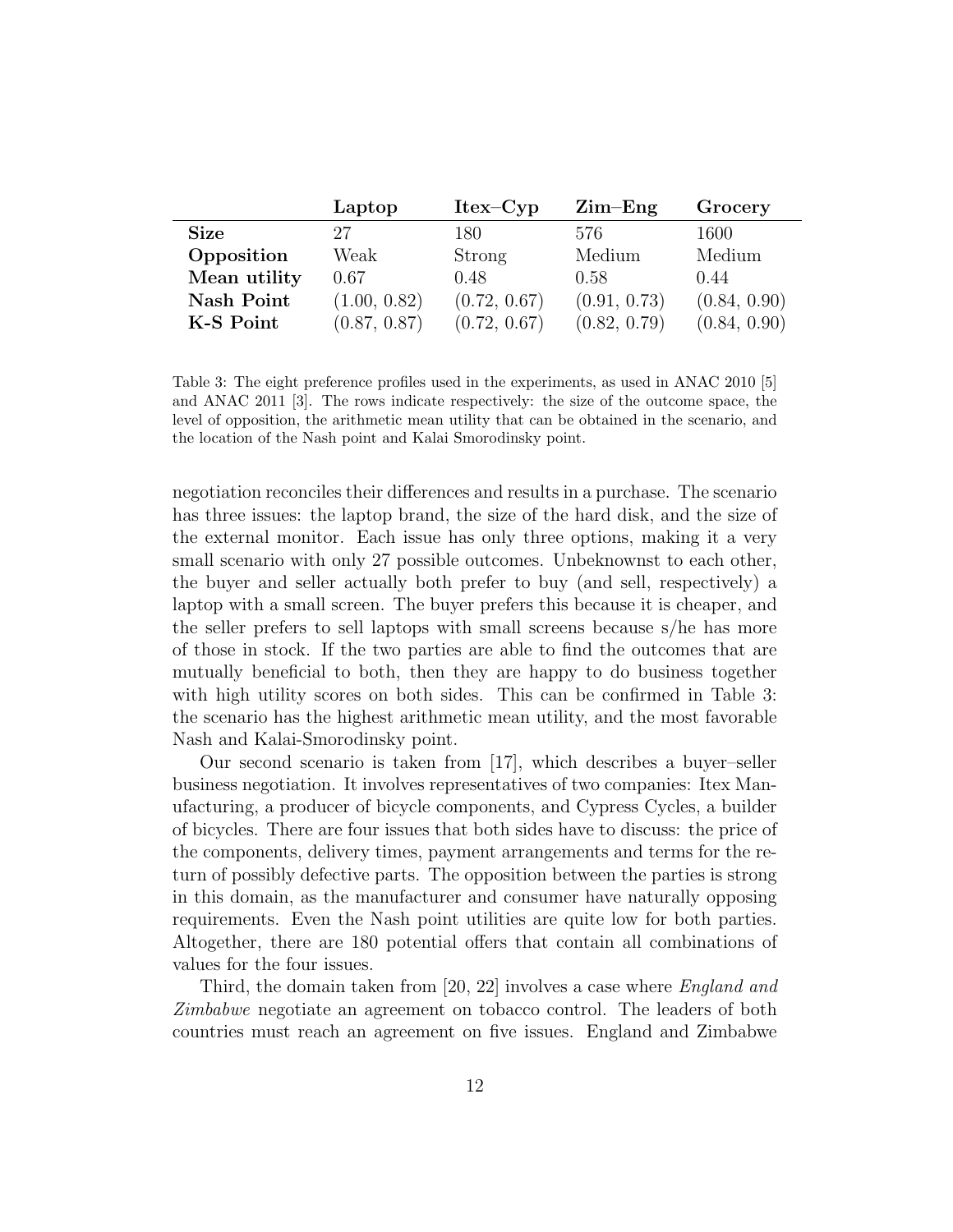|              | Laptop       | $It\n  ex-Cyp$ | $Zim$ -Eng   | Grocery      |
|--------------|--------------|----------------|--------------|--------------|
| <b>Size</b>  | 27           | 180            | 576          | 1600         |
| Opposition   | Weak         | Strong         | Medium       | Medium       |
| Mean utility | 0.67         | 0.48           | 0.58         | 0.44         |
| Nash Point   | (1.00, 0.82) | (0.72, 0.67)   | (0.91, 0.73) | (0.84, 0.90) |
| K-S Point    | (0.87, 0.87) | (0.72, 0.67)   | (0.82, 0.79) | (0.84, 0.90) |

Table 3: The eight preference profiles used in the experiments, as used in ANAC 2010 [5] and ANAC 2011 [3]. The rows indicate respectively: the size of the outcome space, the level of opposition, the arithmetic mean utility that can be obtained in the scenario, and the location of the Nash point and Kalai Smorodinsky point.

negotiation reconciles their differences and results in a purchase. The scenario has three issues: the laptop brand, the size of the hard disk, and the size of the external monitor. Each issue has only three options, making it a very small scenario with only 27 possible outcomes. Unbeknownst to each other, the buyer and seller actually both prefer to buy (and sell, respectively) a laptop with a small screen. The buyer prefers this because it is cheaper, and the seller prefers to sell laptops with small screens because s/he has more of those in stock. If the two parties are able to find the outcomes that are mutually beneficial to both, then they are happy to do business together with high utility scores on both sides. This can be confirmed in Table 3: the scenario has the highest arithmetic mean utility, and the most favorable Nash and Kalai-Smorodinsky point.

Our second scenario is taken from [17], which describes a buyer–seller business negotiation. It involves representatives of two companies: Itex Manufacturing, a producer of bicycle components, and Cypress Cycles, a builder of bicycles. There are four issues that both sides have to discuss: the price of the components, delivery times, payment arrangements and terms for the return of possibly defective parts. The opposition between the parties is strong in this domain, as the manufacturer and consumer have naturally opposing requirements. Even the Nash point utilities are quite low for both parties. Altogether, there are 180 potential offers that contain all combinations of values for the four issues.

Third, the domain taken from [20, 22] involves a case where *England and* Zimbabwe negotiate an agreement on tobacco control. The leaders of both countries must reach an agreement on five issues. England and Zimbabwe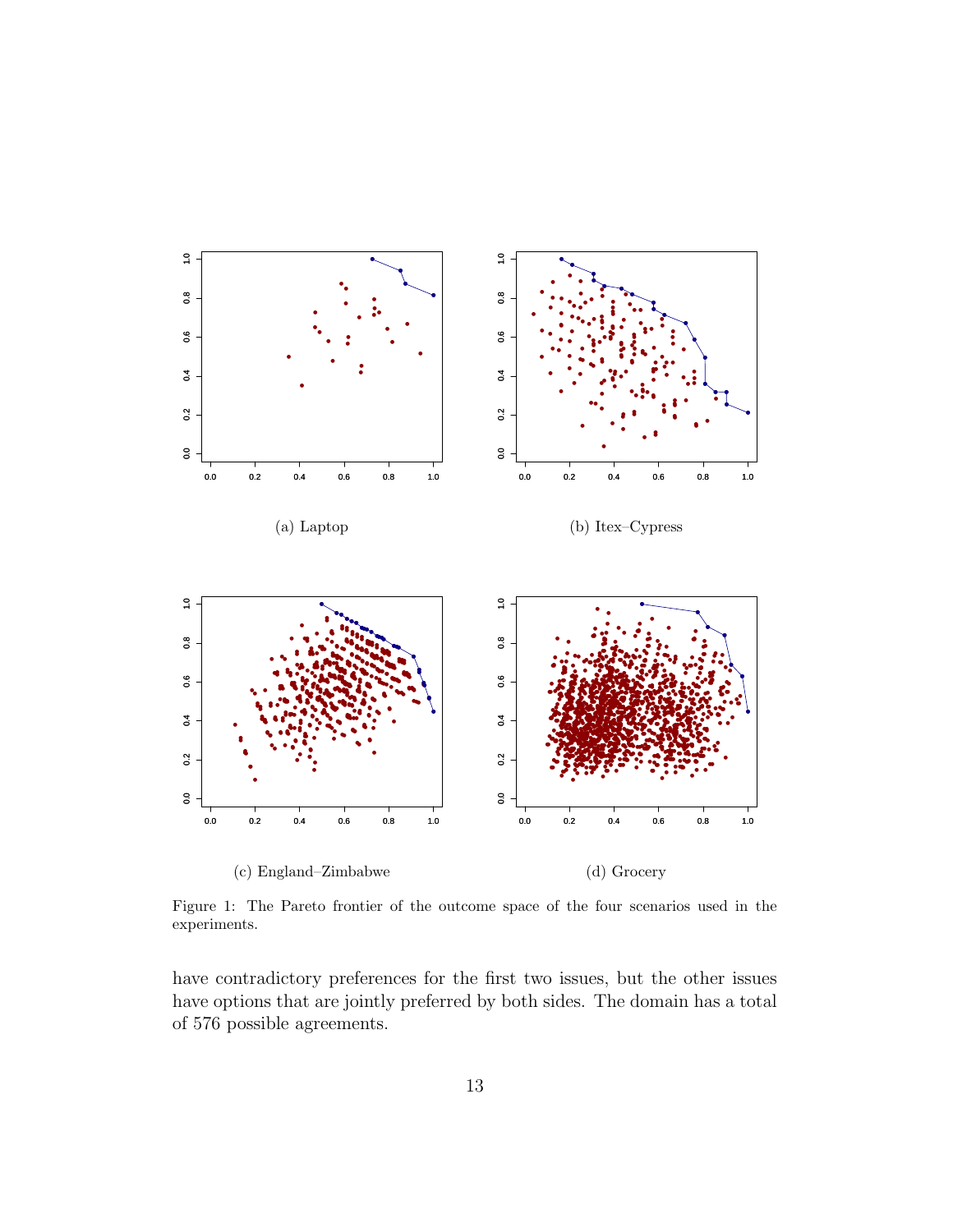

Figure 1: The Pareto frontier of the outcome space of the four scenarios used in the experiments.

have contradictory preferences for the first two issues, but the other issues have options that are jointly preferred by both sides. The domain has a total of 576 possible agreements.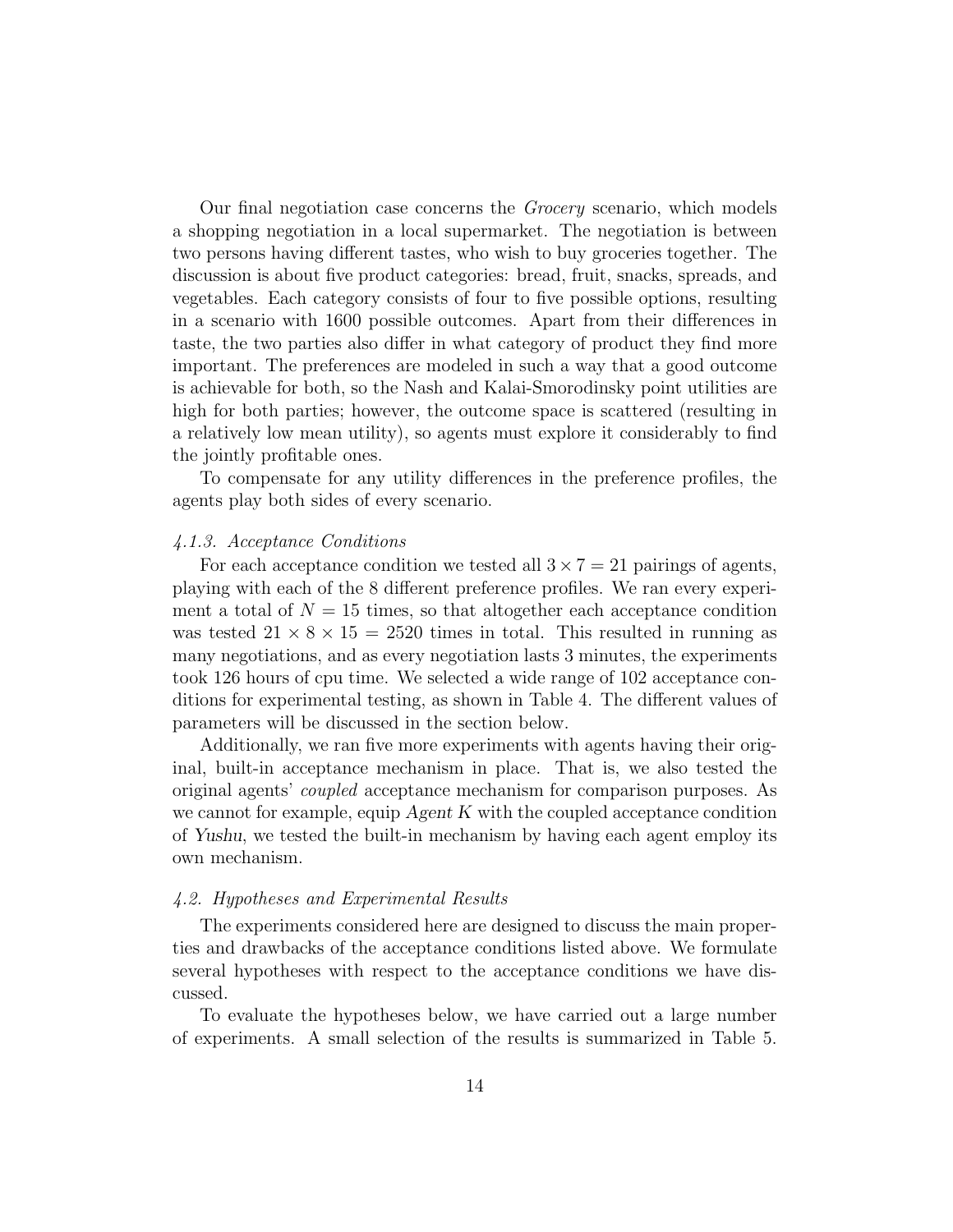Our final negotiation case concerns the Grocery scenario, which models a shopping negotiation in a local supermarket. The negotiation is between two persons having different tastes, who wish to buy groceries together. The discussion is about five product categories: bread, fruit, snacks, spreads, and vegetables. Each category consists of four to five possible options, resulting in a scenario with 1600 possible outcomes. Apart from their differences in taste, the two parties also differ in what category of product they find more important. The preferences are modeled in such a way that a good outcome is achievable for both, so the Nash and Kalai-Smorodinsky point utilities are high for both parties; however, the outcome space is scattered (resulting in a relatively low mean utility), so agents must explore it considerably to find the jointly profitable ones.

To compensate for any utility differences in the preference profiles, the agents play both sides of every scenario.

#### 4.1.3. Acceptance Conditions

For each acceptance condition we tested all  $3 \times 7 = 21$  pairings of agents, playing with each of the 8 different preference profiles. We ran every experiment a total of  $N = 15$  times, so that altogether each acceptance condition was tested  $21 \times 8 \times 15 = 2520$  times in total. This resulted in running as many negotiations, and as every negotiation lasts 3 minutes, the experiments took 126 hours of cpu time. We selected a wide range of 102 acceptance conditions for experimental testing, as shown in Table 4. The different values of parameters will be discussed in the section below.

Additionally, we ran five more experiments with agents having their original, built-in acceptance mechanism in place. That is, we also tested the original agents' coupled acceptance mechanism for comparison purposes. As we cannot for example, equip Agent K with the coupled acceptance condition of Yushu, we tested the built-in mechanism by having each agent employ its own mechanism.

### 4.2. Hypotheses and Experimental Results

The experiments considered here are designed to discuss the main properties and drawbacks of the acceptance conditions listed above. We formulate several hypotheses with respect to the acceptance conditions we have discussed.

To evaluate the hypotheses below, we have carried out a large number of experiments. A small selection of the results is summarized in Table 5.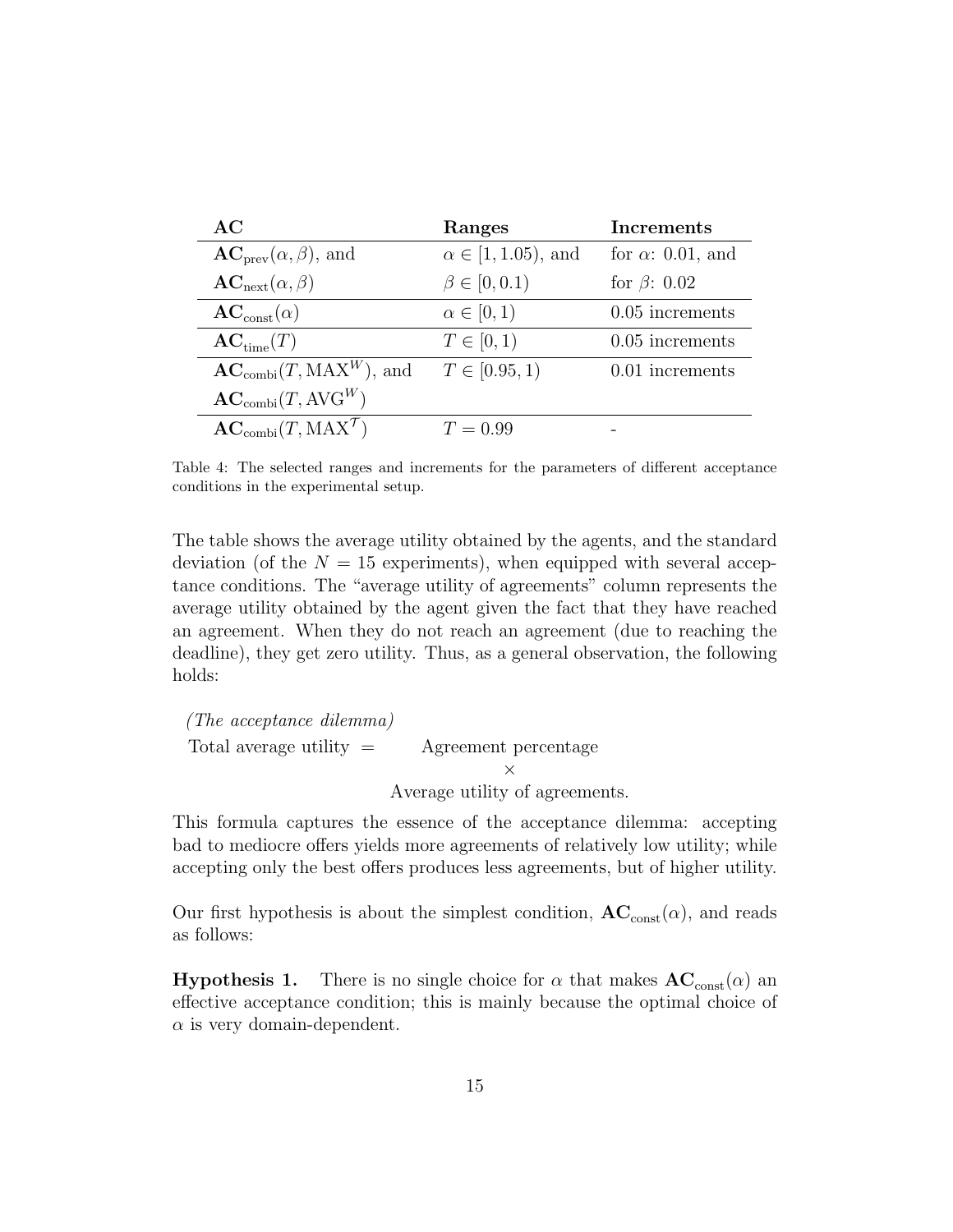| AC                                        | Ranges                       | <b>Increments</b>        |
|-------------------------------------------|------------------------------|--------------------------|
| $ACprev(\alpha, \beta)$ , and             | $\alpha \in [1, 1.05)$ , and | for $\alpha$ : 0.01, and |
| $AC_{\text{next}}(\alpha, \beta)$         | $\beta \in [0, 0.1)$         | for $\beta$ : 0.02       |
| $AC_{\text{const}}(\alpha)$               | $\alpha \in [0,1)$           | $0.05$ increments        |
| $AC_{time}(T)$                            | $T \in [0, 1)$               | $0.05$ increments        |
| $AC_{\text{combi}}(T, MAX^{W})$ , and     | $T \in [0.95, 1)$            | $0.01$ increments        |
| $AC_{\text{combi}}(T, \text{AVG}^W)$      |                              |                          |
| $AC_{\text{combi}}(T, MAX^{\mathcal{T}})$ | $T = 0.99$                   |                          |

Table 4: The selected ranges and increments for the parameters of different acceptance conditions in the experimental setup.

The table shows the average utility obtained by the agents, and the standard deviation (of the  $N = 15$  experiments), when equipped with several acceptance conditions. The "average utility of agreements" column represents the average utility obtained by the agent given the fact that they have reached an agreement. When they do not reach an agreement (due to reaching the deadline), they get zero utility. Thus, as a general observation, the following holds:

(The acceptance dilemma) Total average utility  $=$  Agreement percentage × Average utility of agreements.

This formula captures the essence of the acceptance dilemma: accepting bad to mediocre offers yields more agreements of relatively low utility; while accepting only the best offers produces less agreements, but of higher utility.

Our first hypothesis is about the simplest condition,  $AC_{\text{const}}(\alpha)$ , and reads as follows:

**Hypothesis 1.** There is no single choice for  $\alpha$  that makes  $AC_{const}(\alpha)$  and effective acceptance condition; this is mainly because the optimal choice of  $\alpha$  is very domain-dependent.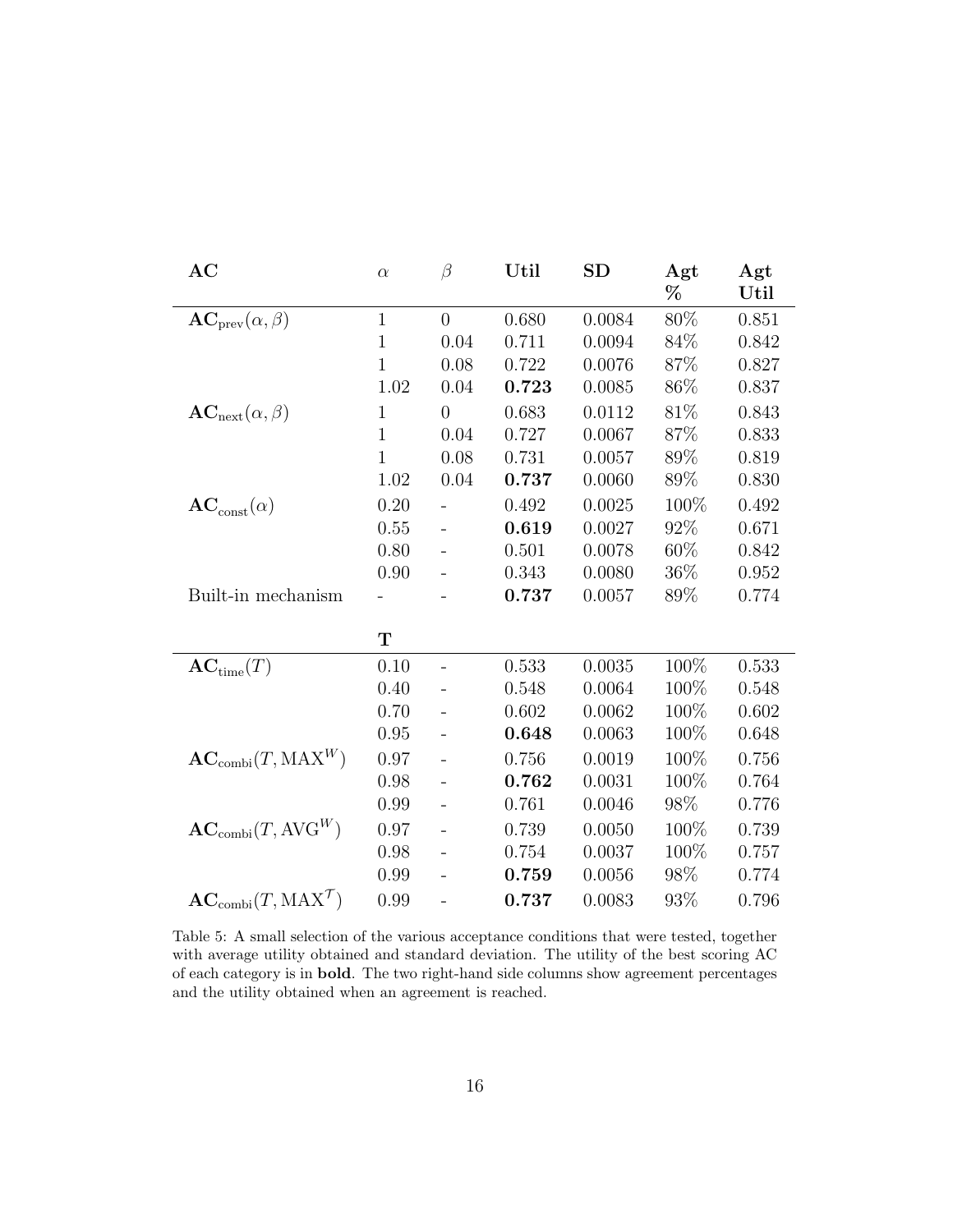| AC                                        | $\alpha$     | $\beta$                  | Util  | SD     | Agt<br>$\%$ | Agt<br>Util |
|-------------------------------------------|--------------|--------------------------|-------|--------|-------------|-------------|
| $ACprev(\alpha, \beta)$                   | $\mathbf{1}$ | $\overline{0}$           | 0.680 | 0.0084 | 80%         | 0.851       |
|                                           | $\mathbf{1}$ | 0.04                     | 0.711 | 0.0094 | 84%         | 0.842       |
|                                           | $\mathbf{1}$ | 0.08                     | 0.722 | 0.0076 | 87\%        | 0.827       |
|                                           | 1.02         | 0.04                     | 0.723 | 0.0085 | 86\%        | 0.837       |
| $AC_{\text{next}}(\alpha, \beta)$         | $\mathbf{1}$ | $\overline{0}$           | 0.683 | 0.0112 | 81%         | 0.843       |
|                                           | $\mathbf{1}$ | 0.04                     | 0.727 | 0.0067 | 87%         | 0.833       |
|                                           | $\mathbf{1}$ | 0.08                     | 0.731 | 0.0057 | 89%         | 0.819       |
|                                           | 1.02         | 0.04                     | 0.737 | 0.0060 | 89%         | 0.830       |
| $AC_{\text{const}}(\alpha)$               | 0.20         | $\overline{a}$           | 0.492 | 0.0025 | 100%        | 0.492       |
|                                           | 0.55         |                          | 0.619 | 0.0027 | 92%         | 0.671       |
|                                           | 0.80         | $\overline{a}$           | 0.501 | 0.0078 | 60%         | 0.842       |
|                                           | 0.90         |                          | 0.343 | 0.0080 | 36%         | 0.952       |
| Built-in mechanism                        |              |                          | 0.737 | 0.0057 | 89%         | 0.774       |
|                                           | $\mathbf T$  |                          |       |        |             |             |
| $AC_{time}(T)$                            | 0.10         | $\overline{a}$           | 0.533 | 0.0035 | 100%        | 0.533       |
|                                           | 0.40         |                          | 0.548 | 0.0064 | 100\%       | 0.548       |
|                                           | 0.70         |                          | 0.602 | 0.0062 | 100%        | 0.602       |
|                                           | 0.95         | $\overline{\phantom{0}}$ | 0.648 | 0.0063 | $100\%$     | 0.648       |
| $AC_{\text{combi}}(T, MAX^{W})$           | 0.97         | $\overline{a}$           | 0.756 | 0.0019 | 100%        | 0.756       |
|                                           | 0.98         | $\overline{a}$           | 0.762 | 0.0031 | 100%        | 0.764       |
|                                           | 0.99         | $\overline{\phantom{0}}$ | 0.761 | 0.0046 | 98\%        | 0.776       |
| $AC_{\text{combi}}(T, \text{AVG}^W)$      | 0.97         | $\overline{a}$           | 0.739 | 0.0050 | 100%        | 0.739       |
|                                           | 0.98         | $\overline{a}$           | 0.754 | 0.0037 | 100%        | 0.757       |
|                                           | 0.99         | $\overline{a}$           | 0.759 | 0.0056 | 98\%        | 0.774       |
| $AC_{\text{combi}}(T, MAX^{\mathcal{T}})$ | 0.99         | $\overline{a}$           | 0.737 | 0.0083 | 93\%        | 0.796       |

Table 5: A small selection of the various acceptance conditions that were tested, together with average utility obtained and standard deviation. The utility of the best scoring AC of each category is in bold. The two right-hand side columns show agreement percentages and the utility obtained when an agreement is reached.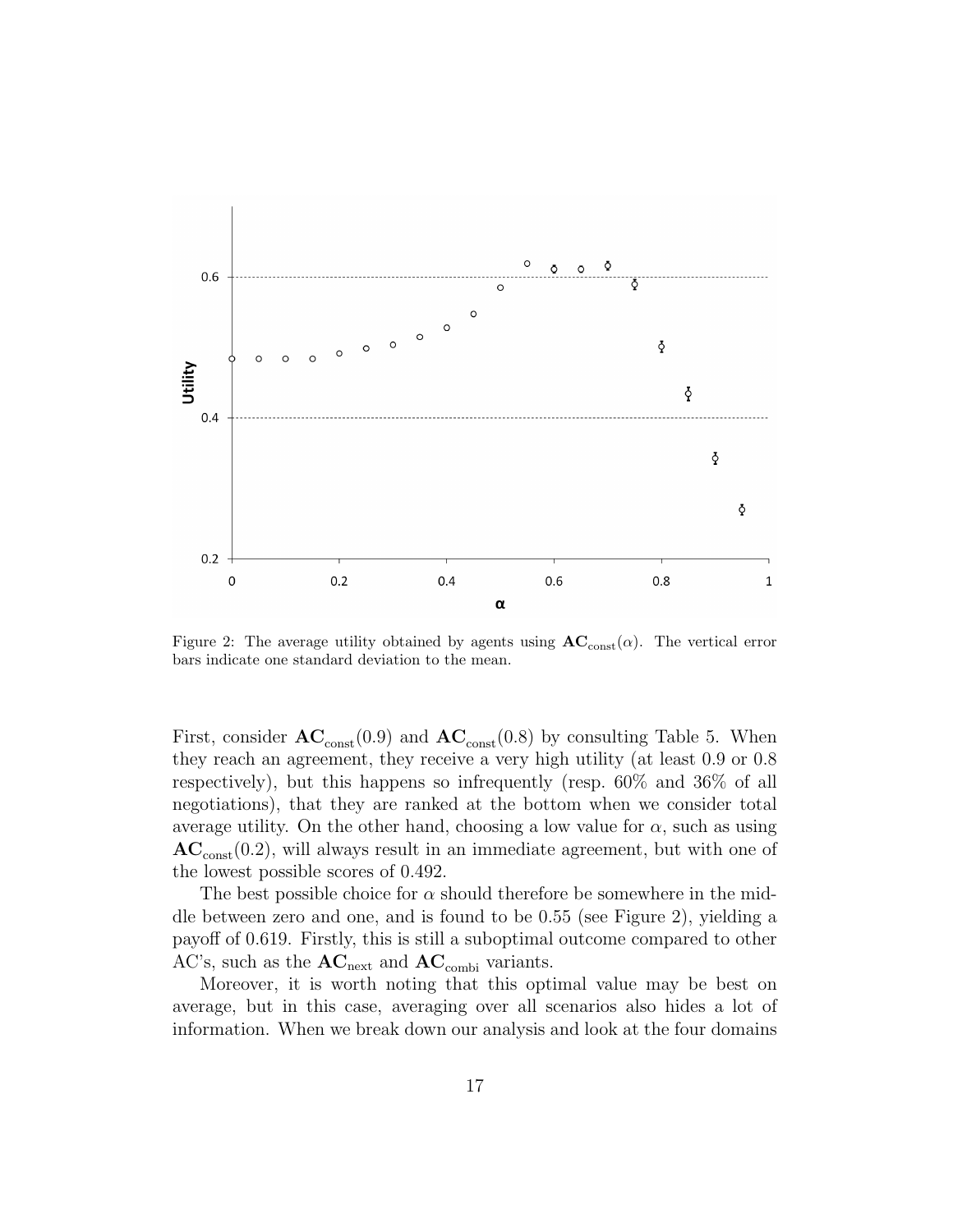

Figure 2: The average utility obtained by agents using  $AC_{\text{const}}(\alpha)$ . The vertical error bars indicate one standard deviation to the mean.

First, consider  $AC_{\text{const}}(0.9)$  and  $AC_{\text{const}}(0.8)$  by consulting Table 5. When they reach an agreement, they receive a very high utility (at least 0.9 or 0.8 respectively), but this happens so infrequently (resp. 60% and 36% of all negotiations), that they are ranked at the bottom when we consider total average utility. On the other hand, choosing a low value for  $\alpha$ , such as using  $AC<sub>const</sub>(0.2)$ , will always result in an immediate agreement, but with one of the lowest possible scores of 0.492.

The best possible choice for  $\alpha$  should therefore be somewhere in the middle between zero and one, and is found to be 0.55 (see Figure 2), yielding a payoff of 0.619. Firstly, this is still a suboptimal outcome compared to other AC's, such as the  $\mathbf{AC}_{\mathrm{next}}$  and  $\mathbf{AC}_{\mathrm{combi}}$  variants.

Moreover, it is worth noting that this optimal value may be best on average, but in this case, averaging over all scenarios also hides a lot of information. When we break down our analysis and look at the four domains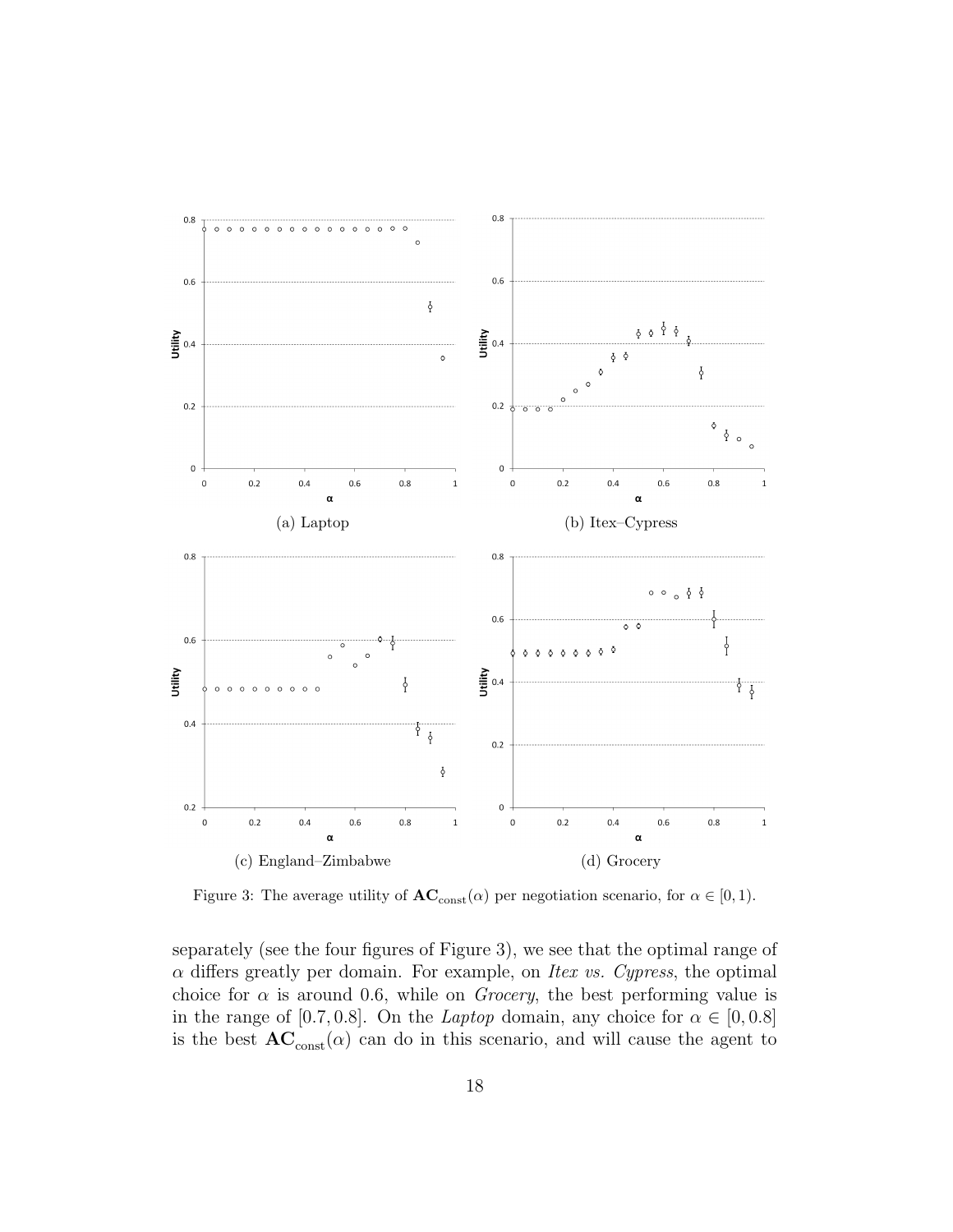

Figure 3: The average utility of  $AC_{\text{const}}(\alpha)$  per negotiation scenario, for  $\alpha \in [0,1)$ .

separately (see the four figures of Figure 3), we see that the optimal range of  $\alpha$  differs greatly per domain. For example, on *Itex vs. Cypress*, the optimal choice for  $\alpha$  is around 0.6, while on *Grocery*, the best performing value is in the range of [0.7, 0.8]. On the *Laptop* domain, any choice for  $\alpha \in [0, 0.8]$ is the best  $AC_{\text{const}}(\alpha)$  can do in this scenario, and will cause the agent to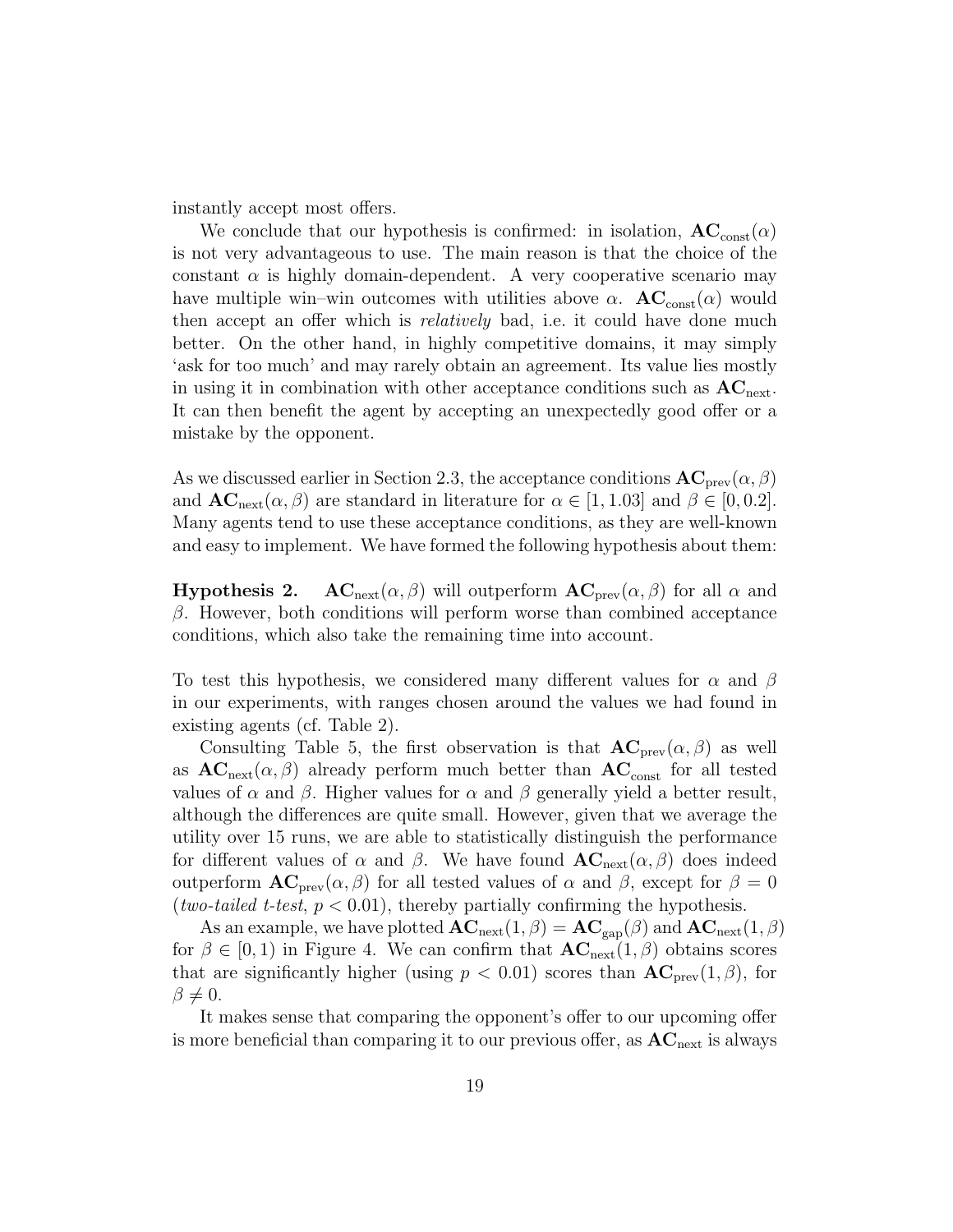instantly accept most offers.

We conclude that our hypothesis is confirmed: in isolation,  $AC_{const}(\alpha)$ is not very advantageous to use. The main reason is that the choice of the constant  $\alpha$  is highly domain-dependent. A very cooperative scenario may have multiple win–win outcomes with utilities above  $\alpha$ .  $AC_{\text{const}}(\alpha)$  would then accept an offer which is relatively bad, i.e. it could have done much better. On the other hand, in highly competitive domains, it may simply 'ask for too much' and may rarely obtain an agreement. Its value lies mostly in using it in combination with other acceptance conditions such as  $AC<sub>next</sub>$ . It can then benefit the agent by accepting an unexpectedly good offer or a mistake by the opponent.

As we discussed earlier in Section 2.3, the acceptance conditions  $AC_{prev}(\alpha, \beta)$ and  $AC_{\text{next}}(\alpha, \beta)$  are standard in literature for  $\alpha \in [1, 1.03]$  and  $\beta \in [0, 0.2]$ . Many agents tend to use these acceptance conditions, as they are well-known and easy to implement. We have formed the following hypothesis about them:

**Hypothesis 2.**  $AC_{\text{next}}(\alpha, \beta)$  will outperform  $AC_{\text{prev}}(\alpha, \beta)$  for all  $\alpha$  and β. However, both conditions will perform worse than combined acceptance conditions, which also take the remaining time into account.

To test this hypothesis, we considered many different values for  $\alpha$  and  $\beta$ in our experiments, with ranges chosen around the values we had found in existing agents (cf. Table 2).

Consulting Table 5, the first observation is that  $AC_{prev}(\alpha, \beta)$  as well as  $AC<sub>next</sub>(\alpha, \beta)$  already perform much better than  $AC<sub>const</sub>$  for all tested values of  $\alpha$  and  $\beta$ . Higher values for  $\alpha$  and  $\beta$  generally yield a better result, although the differences are quite small. However, given that we average the utility over 15 runs, we are able to statistically distinguish the performance for different values of  $\alpha$  and  $\beta$ . We have found  $AC_{\text{next}}(\alpha, \beta)$  does indeed outperform  $AC<sub>prev</sub>(α, β)$  for all tested values of α and β, except for  $β = 0$ (*two-tailed t-test*,  $p < 0.01$ ), thereby partially confirming the hypothesis.

As an example, we have plotted  $AC_{\text{next}}(1, \beta) = AC_{\text{gap}}(\beta)$  and  $AC_{\text{next}}(1, \beta)$ for  $\beta \in [0, 1)$  in Figure 4. We can confirm that  $AC_{\text{next}}(1, \beta)$  obtains scores that are significantly higher (using  $p < 0.01$ ) scores than  $AC_{prev}(1, \beta)$ , for  $\beta \neq 0$ .

It makes sense that comparing the opponent's offer to our upcoming offer is more beneficial than comparing it to our previous offer, as  $AC<sub>next</sub>$  is always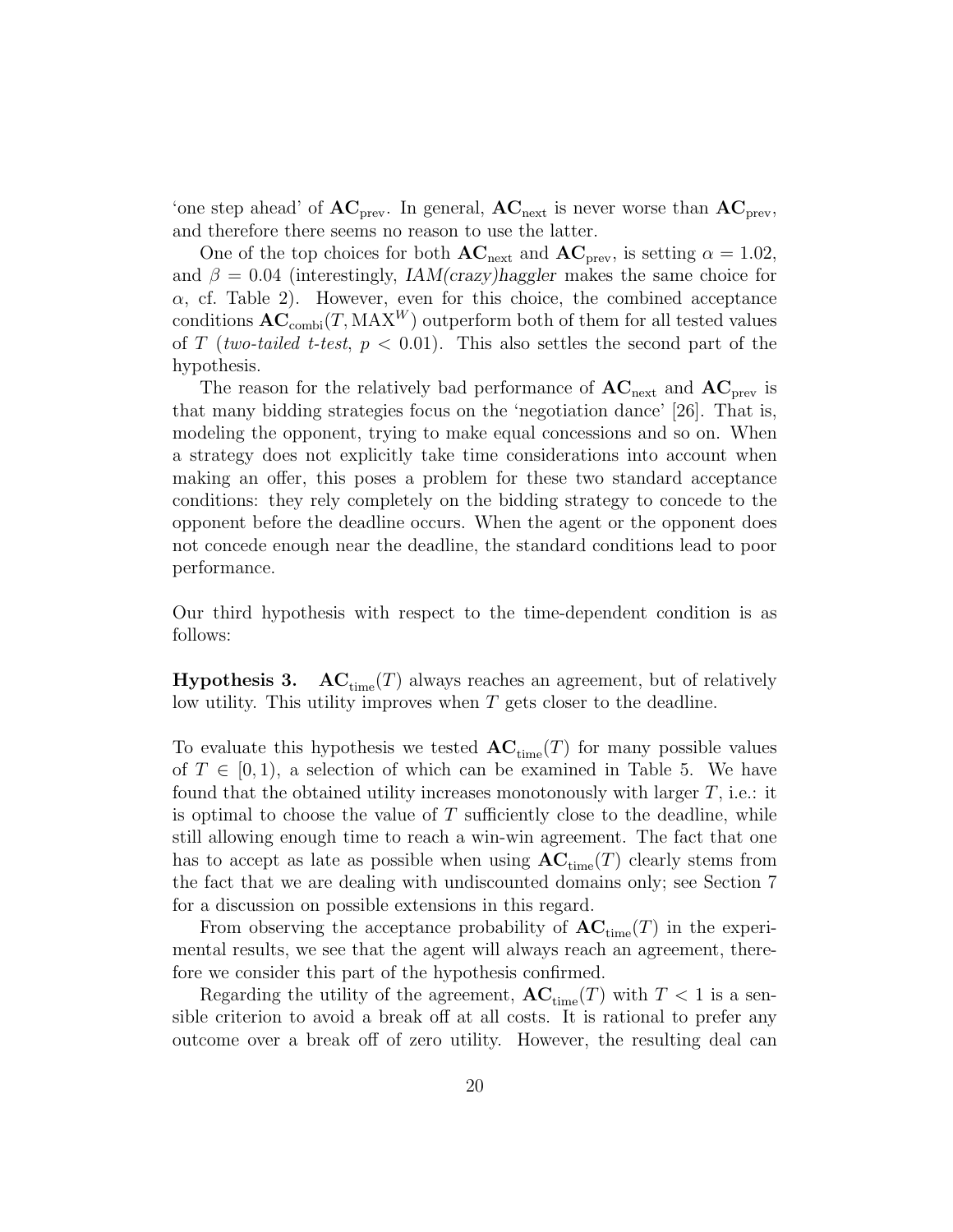'one step ahead' of  $AC<sub>prev</sub>$ . In general,  $AC<sub>next</sub>$  is never worse than  $AC<sub>prev</sub>$ , and therefore there seems no reason to use the latter.

One of the top choices for both  $AC<sub>next</sub>$  and  $AC<sub>prev</sub>$ , is setting  $\alpha = 1.02$ , and  $\beta = 0.04$  (interestingly, IAM(crazy)haggler makes the same choice for  $\alpha$ , cf. Table 2). However, even for this choice, the combined acceptance conditions  $AC_{\text{combi}}(T, MAX^W)$  outperform both of them for all tested values of T (two-tailed t-test,  $p < 0.01$ ). This also settles the second part of the hypothesis.

The reason for the relatively bad performance of  $AC_{next}$  and  $AC_{prev}$  is that many bidding strategies focus on the 'negotiation dance' [26]. That is, modeling the opponent, trying to make equal concessions and so on. When a strategy does not explicitly take time considerations into account when making an offer, this poses a problem for these two standard acceptance conditions: they rely completely on the bidding strategy to concede to the opponent before the deadline occurs. When the agent or the opponent does not concede enough near the deadline, the standard conditions lead to poor performance.

Our third hypothesis with respect to the time-dependent condition is as follows:

**Hypothesis 3.**  $AC_{time}(T)$  always reaches an agreement, but of relatively low utility. This utility improves when  $T$  gets closer to the deadline.

To evaluate this hypothesis we tested  $AC_{time}(T)$  for many possible values of  $T \in [0, 1)$ , a selection of which can be examined in Table 5. We have found that the obtained utility increases monotonously with larger T, i.e.: it is optimal to choose the value of  $T$  sufficiently close to the deadline, while still allowing enough time to reach a win-win agreement. The fact that one has to accept as late as possible when using  $AC_{time}(T)$  clearly stems from the fact that we are dealing with undiscounted domains only; see Section 7 for a discussion on possible extensions in this regard.

From observing the acceptance probability of  $AC_{time}(T)$  in the experimental results, we see that the agent will always reach an agreement, therefore we consider this part of the hypothesis confirmed.

Regarding the utility of the agreement,  $AC_{time}(T)$  with  $T < 1$  is a sensible criterion to avoid a break off at all costs. It is rational to prefer any outcome over a break off of zero utility. However, the resulting deal can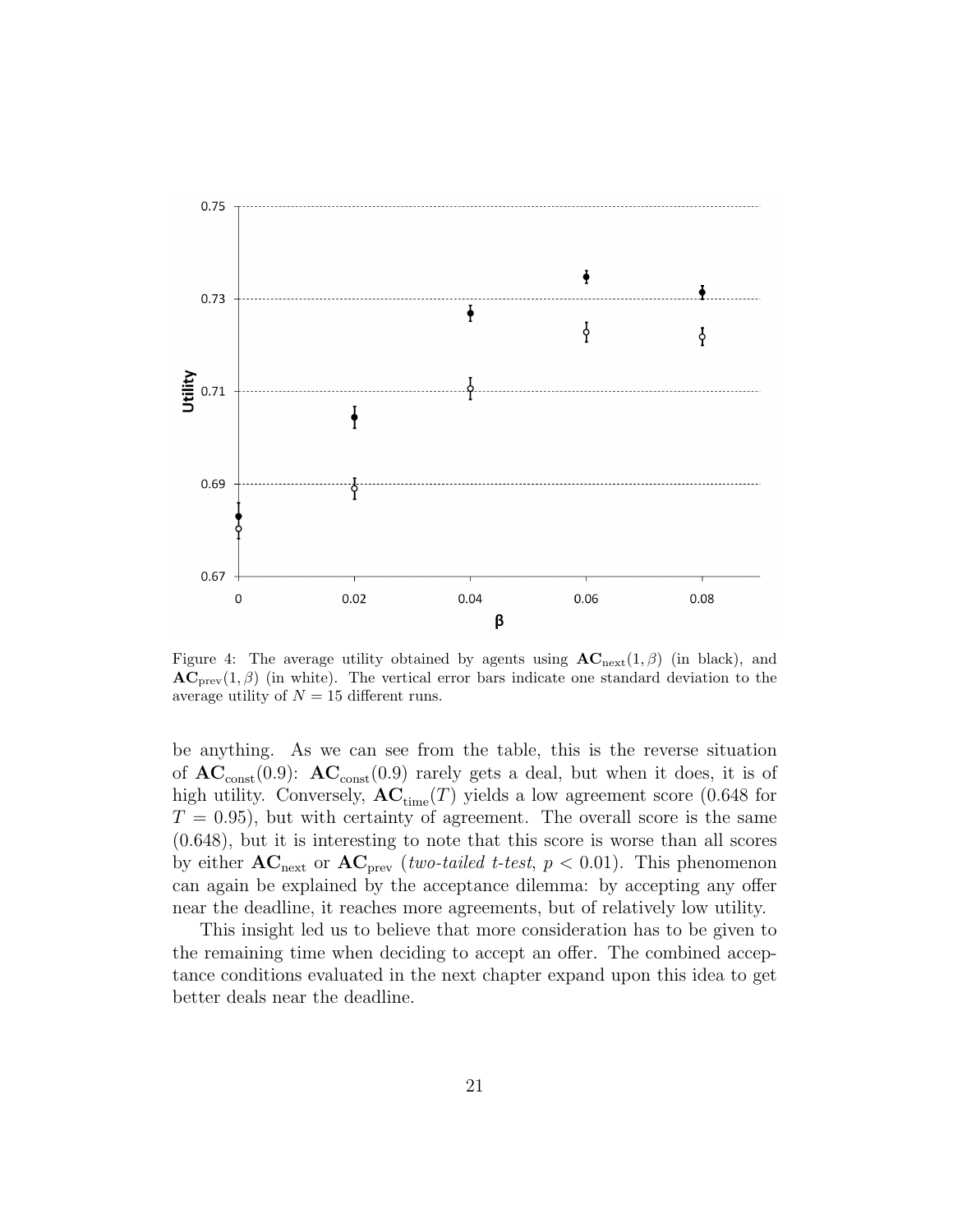

Figure 4: The average utility obtained by agents using  $AC_{\text{next}}(1,\beta)$  (in black), and  $AC<sub>prev</sub>(1, \beta)$  (in white). The vertical error bars indicate one standard deviation to the average utility of  $N = 15$  different runs.

be anything. As we can see from the table, this is the reverse situation of  $AC_{const}(0.9)$ :  $AC_{const}(0.9)$  rarely gets a deal, but when it does, it is of high utility. Conversely,  $AC_{time}(T)$  yields a low agreement score (0.648 for  $T = 0.95$ , but with certainty of agreement. The overall score is the same (0.648), but it is interesting to note that this score is worse than all scores by either  $AC<sub>next</sub>$  or  $AC<sub>prev</sub>$  (two-tailed t-test,  $p < 0.01$ ). This phenomenon can again be explained by the acceptance dilemma: by accepting any offer near the deadline, it reaches more agreements, but of relatively low utility.

This insight led us to believe that more consideration has to be given to the remaining time when deciding to accept an offer. The combined acceptance conditions evaluated in the next chapter expand upon this idea to get better deals near the deadline.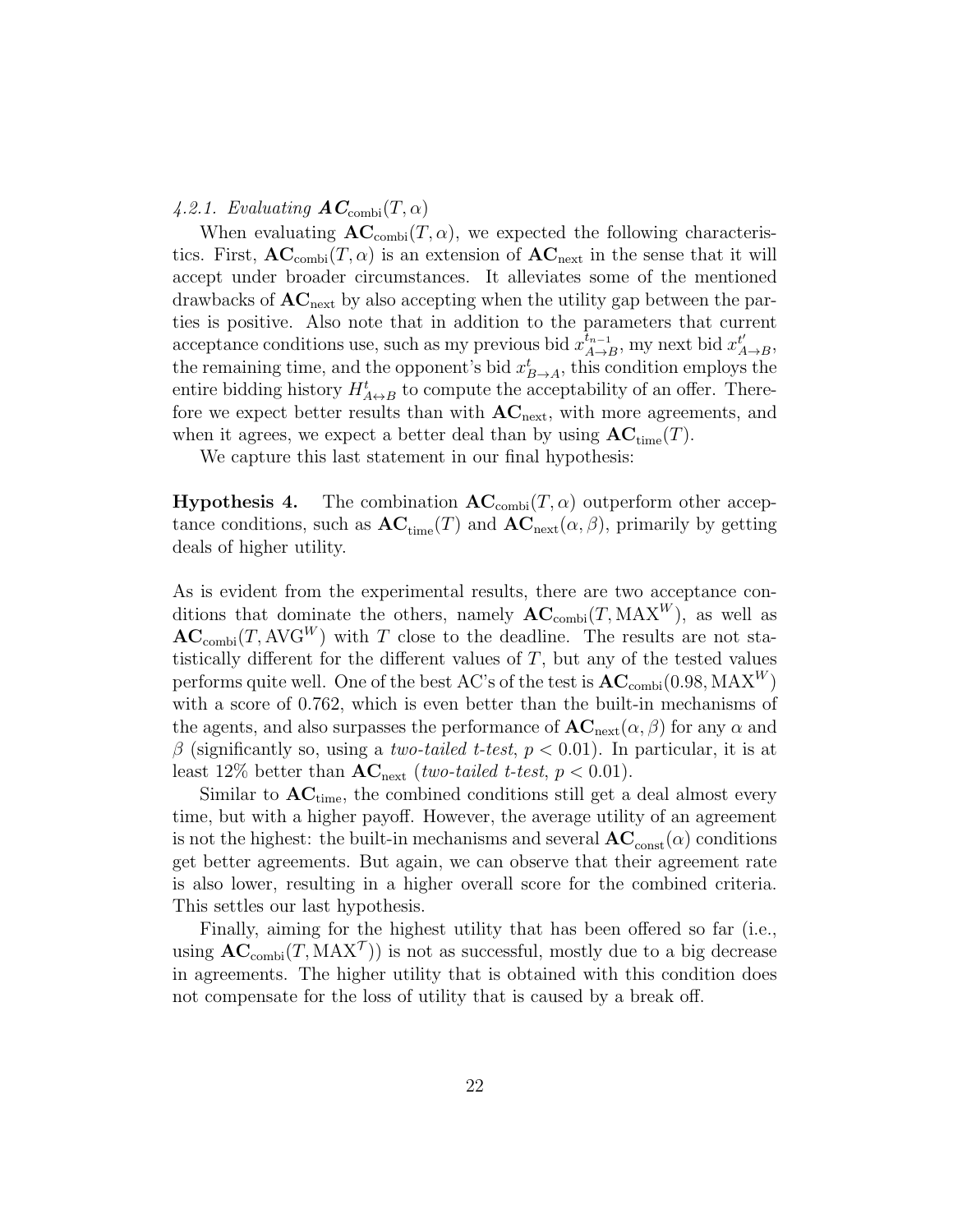4.2.1. Evaluating  $\mathbf{AC}_{\text{combi}}(T,\alpha)$ 

When evaluating  $AC_{\text{combi}}(T, \alpha)$ , we expected the following characteristics. First,  $AC_{\text{combi}}(T, \alpha)$  is an extension of  $AC_{\text{next}}$  in the sense that it will accept under broader circumstances. It alleviates some of the mentioned drawbacks of  $AC<sub>next</sub>$  by also accepting when the utility gap between the parties is positive. Also note that in addition to the parameters that current acceptance conditions use, such as my previous bid  $x_{A\to i}^{\overline{t}_{n-1}}$  $\frac{t_{n-1}}{A\rightarrow B}$ , my next bid  $x_{A\rightarrow B}^{t'}$ , the remaining time, and the opponent's bid  $x_{B\to A}^t$ , this condition employs the entire bidding history  $H_{A\leftrightarrow B}^t$  to compute the acceptability of an offer. Therefore we expect better results than with  $AC<sub>next</sub>$ , with more agreements, and when it agrees, we expect a better deal than by using  $AC_{time}(T)$ .

We capture this last statement in our final hypothesis:

**Hypothesis 4.** The combination  $AC_{\text{combi}}(T, \alpha)$  outperform other acceptance conditions, such as  $AC_{time}(T)$  and  $AC_{next}(\alpha, \beta)$ , primarily by getting deals of higher utility.

As is evident from the experimental results, there are two acceptance conditions that dominate the others, namely  $AC_{\text{combi}}(T, MAX^{W})$ , as well as  $AC_{\text{combi}}(T, \text{AVG}^W)$  with T close to the deadline. The results are not statistically different for the different values of  $T$ , but any of the tested values performs quite well. One of the best AC's of the test is  $AC_{\text{combi}}(0.98, MAX^W)$ with a score of 0.762, which is even better than the built-in mechanisms of the agents, and also surpasses the performance of  $AC_{\text{next}}(\alpha, \beta)$  for any  $\alpha$  and β (significantly so, using a *two-tailed t-test, p* < 0.01). In particular, it is at least 12% better than  $AC<sub>next</sub>$  (two-tailed t-test,  $p < 0.01$ ).

Similar to  $AC_{time}$ , the combined conditions still get a deal almost every time, but with a higher payoff. However, the average utility of an agreement is not the highest: the built-in mechanisms and several  $AC_{const}(\alpha)$  conditions get better agreements. But again, we can observe that their agreement rate is also lower, resulting in a higher overall score for the combined criteria. This settles our last hypothesis.

Finally, aiming for the highest utility that has been offered so far (i.e., using  $AC_{\text{combi}}(T, \text{MAX}^{\mathcal{T}})$  is not as successful, mostly due to a big decrease in agreements. The higher utility that is obtained with this condition does not compensate for the loss of utility that is caused by a break off.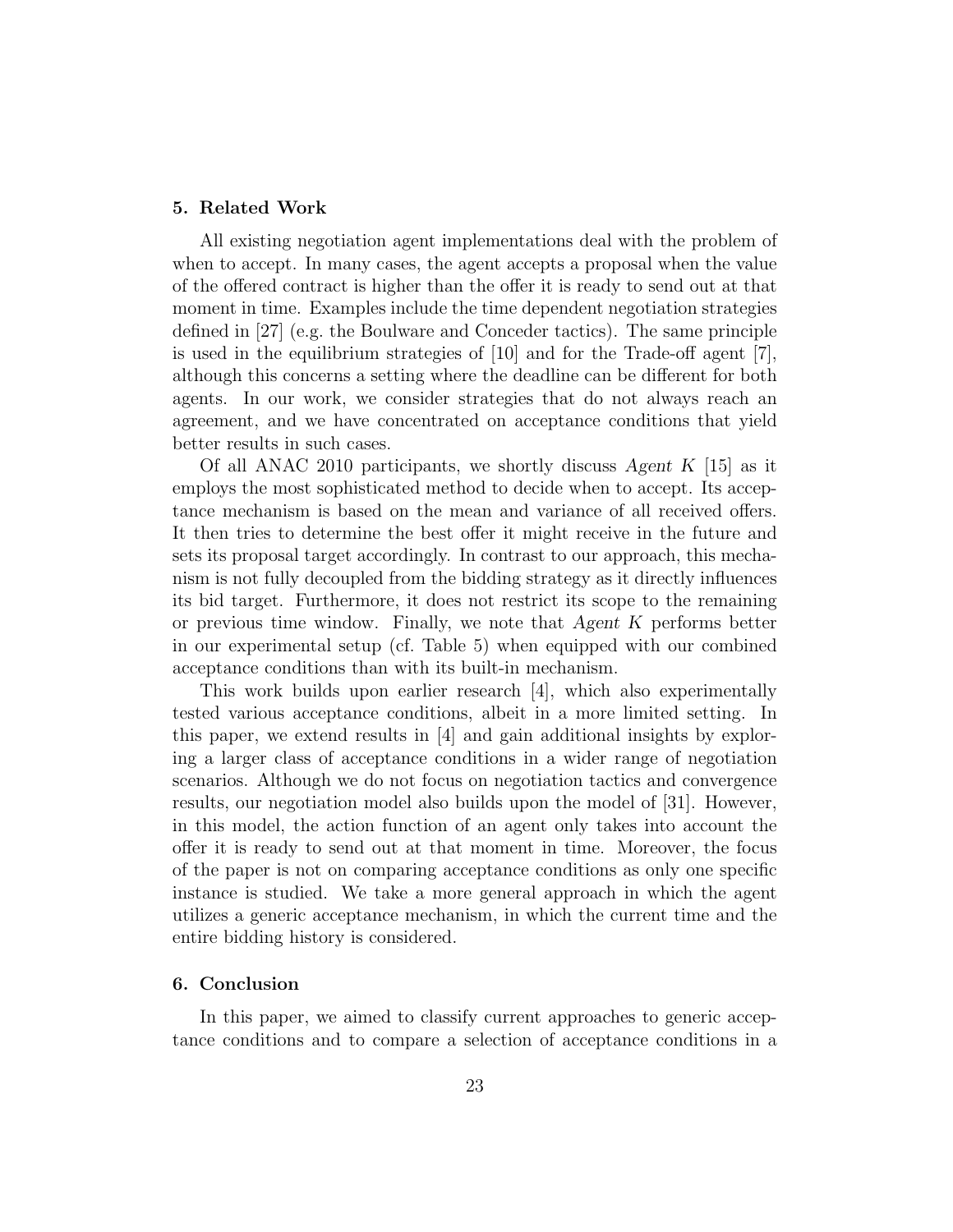#### 5. Related Work

All existing negotiation agent implementations deal with the problem of when to accept. In many cases, the agent accepts a proposal when the value of the offered contract is higher than the offer it is ready to send out at that moment in time. Examples include the time dependent negotiation strategies defined in [27] (e.g. the Boulware and Conceder tactics). The same principle is used in the equilibrium strategies of [10] and for the Trade-off agent [7], although this concerns a setting where the deadline can be different for both agents. In our work, we consider strategies that do not always reach an agreement, and we have concentrated on acceptance conditions that yield better results in such cases.

Of all ANAC 2010 participants, we shortly discuss Agent  $K$  [15] as it employs the most sophisticated method to decide when to accept. Its acceptance mechanism is based on the mean and variance of all received offers. It then tries to determine the best offer it might receive in the future and sets its proposal target accordingly. In contrast to our approach, this mechanism is not fully decoupled from the bidding strategy as it directly influences its bid target. Furthermore, it does not restrict its scope to the remaining or previous time window. Finally, we note that Agent K performs better in our experimental setup (cf. Table 5) when equipped with our combined acceptance conditions than with its built-in mechanism.

This work builds upon earlier research [4], which also experimentally tested various acceptance conditions, albeit in a more limited setting. In this paper, we extend results in [4] and gain additional insights by exploring a larger class of acceptance conditions in a wider range of negotiation scenarios. Although we do not focus on negotiation tactics and convergence results, our negotiation model also builds upon the model of [31]. However, in this model, the action function of an agent only takes into account the offer it is ready to send out at that moment in time. Moreover, the focus of the paper is not on comparing acceptance conditions as only one specific instance is studied. We take a more general approach in which the agent utilizes a generic acceptance mechanism, in which the current time and the entire bidding history is considered.

# 6. Conclusion

In this paper, we aimed to classify current approaches to generic acceptance conditions and to compare a selection of acceptance conditions in a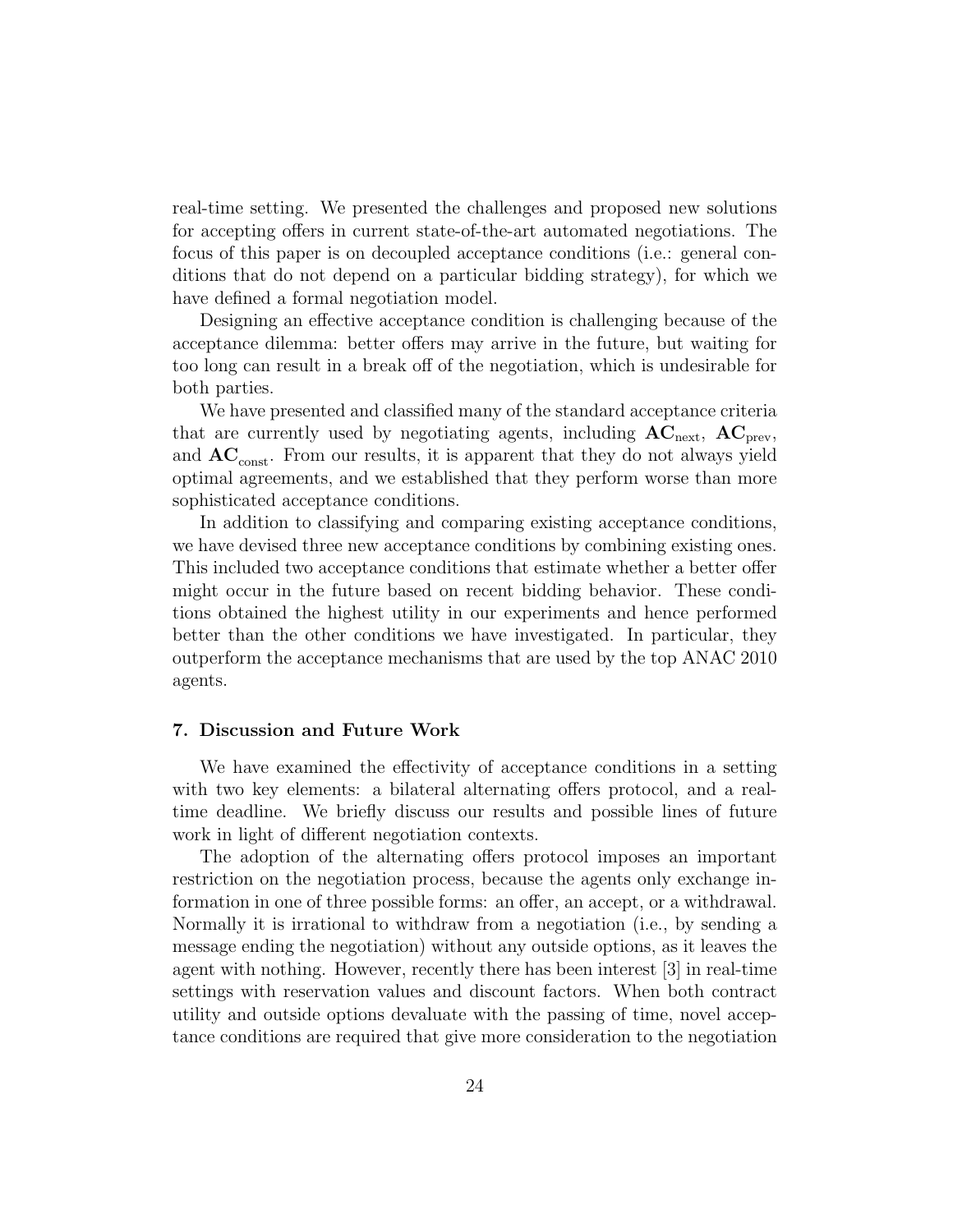real-time setting. We presented the challenges and proposed new solutions for accepting offers in current state-of-the-art automated negotiations. The focus of this paper is on decoupled acceptance conditions (i.e.: general conditions that do not depend on a particular bidding strategy), for which we have defined a formal negotiation model.

Designing an effective acceptance condition is challenging because of the acceptance dilemma: better offers may arrive in the future, but waiting for too long can result in a break off of the negotiation, which is undesirable for both parties.

We have presented and classified many of the standard acceptance criteria that are currently used by negotiating agents, including  $AC<sub>next</sub>$ ,  $AC<sub>prev</sub>$ , and  $AC_{const}$ . From our results, it is apparent that they do not always yield optimal agreements, and we established that they perform worse than more sophisticated acceptance conditions.

In addition to classifying and comparing existing acceptance conditions, we have devised three new acceptance conditions by combining existing ones. This included two acceptance conditions that estimate whether a better offer might occur in the future based on recent bidding behavior. These conditions obtained the highest utility in our experiments and hence performed better than the other conditions we have investigated. In particular, they outperform the acceptance mechanisms that are used by the top ANAC 2010 agents.

#### 7. Discussion and Future Work

We have examined the effectivity of acceptance conditions in a setting with two key elements: a bilateral alternating offers protocol, and a realtime deadline. We briefly discuss our results and possible lines of future work in light of different negotiation contexts.

The adoption of the alternating offers protocol imposes an important restriction on the negotiation process, because the agents only exchange information in one of three possible forms: an offer, an accept, or a withdrawal. Normally it is irrational to withdraw from a negotiation (i.e., by sending a message ending the negotiation) without any outside options, as it leaves the agent with nothing. However, recently there has been interest [3] in real-time settings with reservation values and discount factors. When both contract utility and outside options devaluate with the passing of time, novel acceptance conditions are required that give more consideration to the negotiation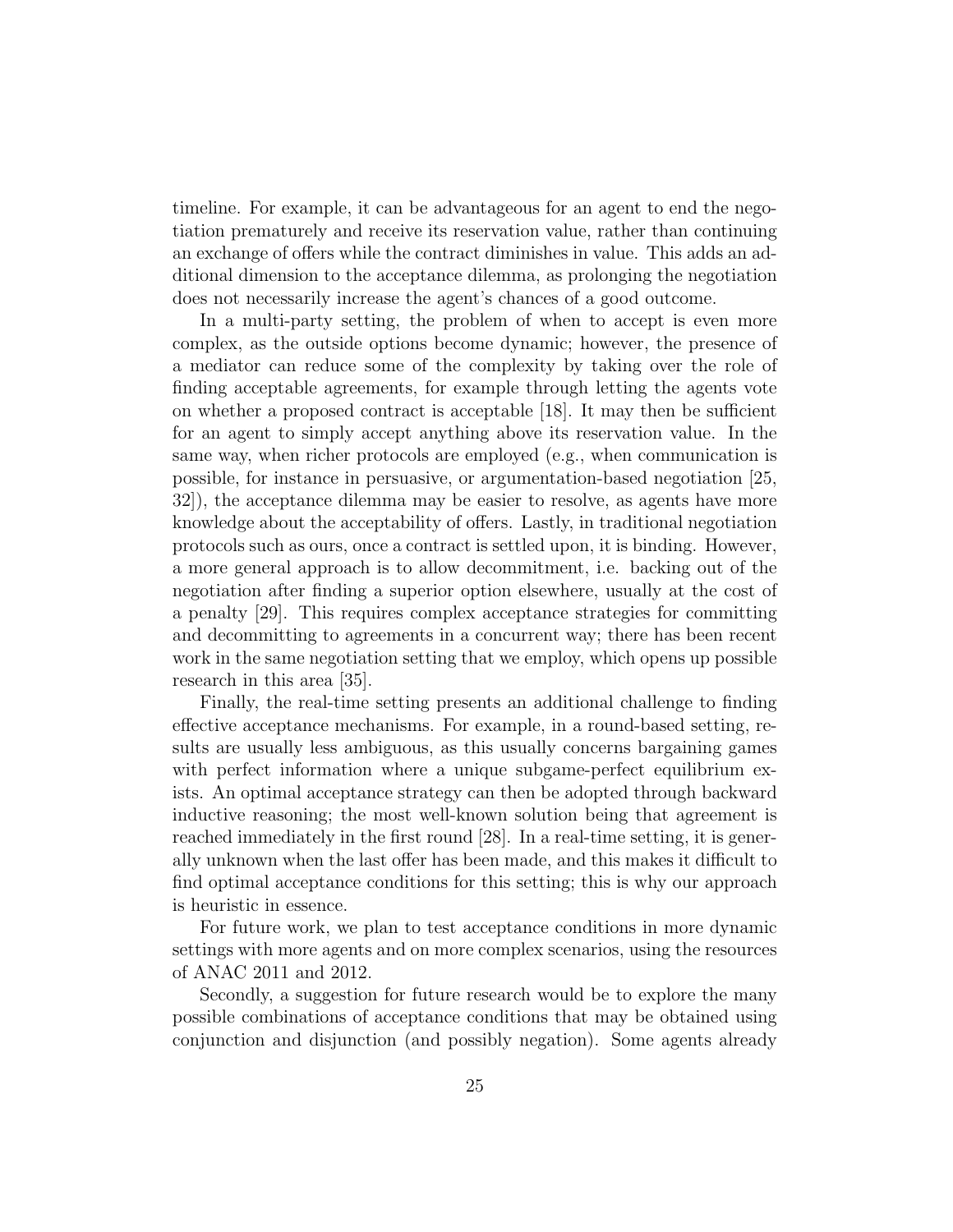timeline. For example, it can be advantageous for an agent to end the negotiation prematurely and receive its reservation value, rather than continuing an exchange of offers while the contract diminishes in value. This adds an additional dimension to the acceptance dilemma, as prolonging the negotiation does not necessarily increase the agent's chances of a good outcome.

In a multi-party setting, the problem of when to accept is even more complex, as the outside options become dynamic; however, the presence of a mediator can reduce some of the complexity by taking over the role of finding acceptable agreements, for example through letting the agents vote on whether a proposed contract is acceptable [18]. It may then be sufficient for an agent to simply accept anything above its reservation value. In the same way, when richer protocols are employed (e.g., when communication is possible, for instance in persuasive, or argumentation-based negotiation [25, 32]), the acceptance dilemma may be easier to resolve, as agents have more knowledge about the acceptability of offers. Lastly, in traditional negotiation protocols such as ours, once a contract is settled upon, it is binding. However, a more general approach is to allow decommitment, i.e. backing out of the negotiation after finding a superior option elsewhere, usually at the cost of a penalty [29]. This requires complex acceptance strategies for committing and decommitting to agreements in a concurrent way; there has been recent work in the same negotiation setting that we employ, which opens up possible research in this area [35].

Finally, the real-time setting presents an additional challenge to finding effective acceptance mechanisms. For example, in a round-based setting, results are usually less ambiguous, as this usually concerns bargaining games with perfect information where a unique subgame-perfect equilibrium exists. An optimal acceptance strategy can then be adopted through backward inductive reasoning; the most well-known solution being that agreement is reached immediately in the first round [28]. In a real-time setting, it is generally unknown when the last offer has been made, and this makes it difficult to find optimal acceptance conditions for this setting; this is why our approach is heuristic in essence.

For future work, we plan to test acceptance conditions in more dynamic settings with more agents and on more complex scenarios, using the resources of ANAC 2011 and 2012.

Secondly, a suggestion for future research would be to explore the many possible combinations of acceptance conditions that may be obtained using conjunction and disjunction (and possibly negation). Some agents already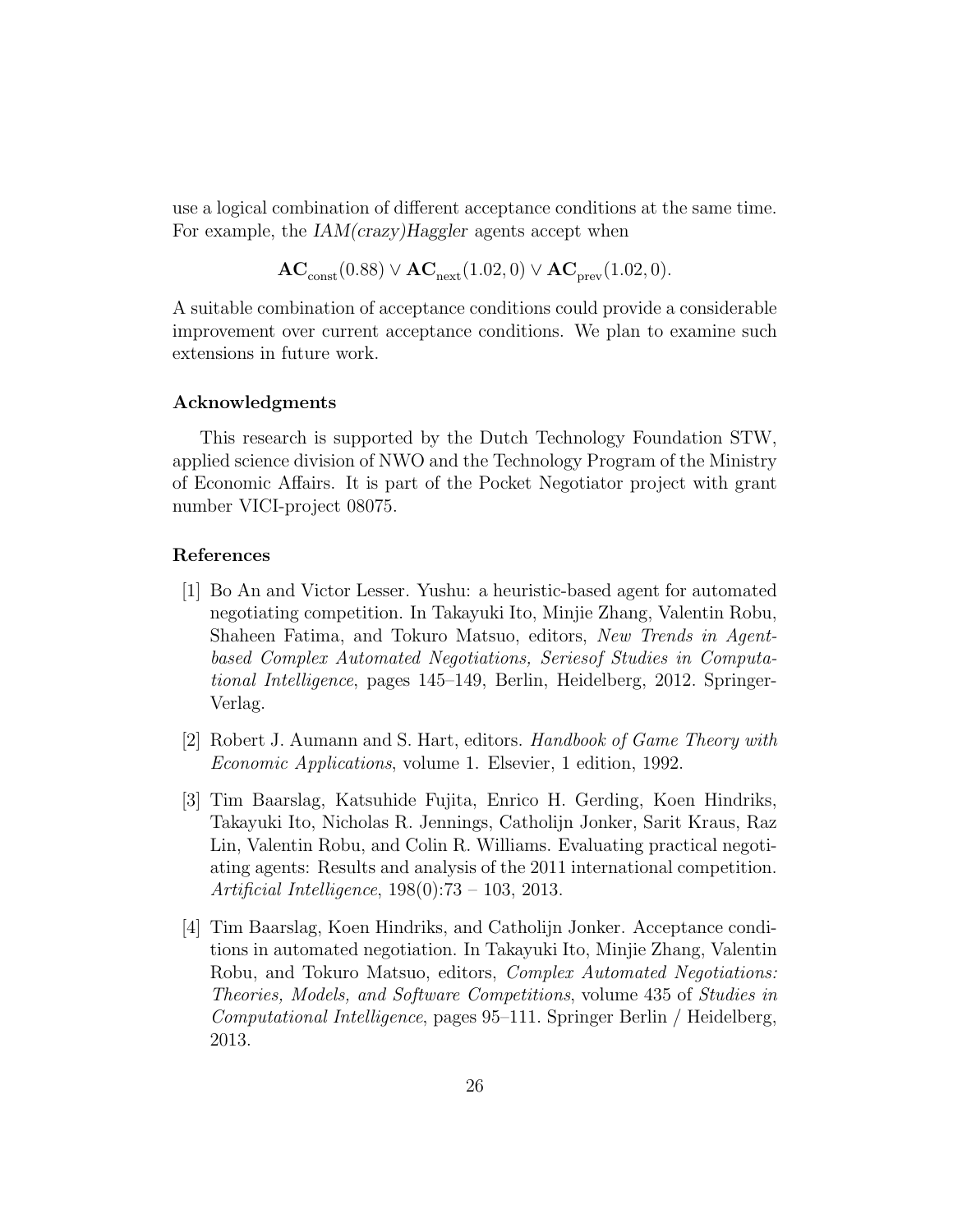use a logical combination of different acceptance conditions at the same time. For example, the  $IAM(crazy)Hagger$  agents accept when

 $AC_{const}(0.88) \vee AC_{next}(1.02, 0) \vee AC_{prev}(1.02, 0).$ 

A suitable combination of acceptance conditions could provide a considerable improvement over current acceptance conditions. We plan to examine such extensions in future work.

## Acknowledgments

This research is supported by the Dutch Technology Foundation STW, applied science division of NWO and the Technology Program of the Ministry of Economic Affairs. It is part of the Pocket Negotiator project with grant number VICI-project 08075.

## References

- [1] Bo An and Victor Lesser. Yushu: a heuristic-based agent for automated negotiating competition. In Takayuki Ito, Minjie Zhang, Valentin Robu, Shaheen Fatima, and Tokuro Matsuo, editors, New Trends in Agentbased Complex Automated Negotiations, Seriesof Studies in Computational Intelligence, pages 145–149, Berlin, Heidelberg, 2012. Springer-Verlag.
- [2] Robert J. Aumann and S. Hart, editors. Handbook of Game Theory with Economic Applications, volume 1. Elsevier, 1 edition, 1992.
- [3] Tim Baarslag, Katsuhide Fujita, Enrico H. Gerding, Koen Hindriks, Takayuki Ito, Nicholas R. Jennings, Catholijn Jonker, Sarit Kraus, Raz Lin, Valentin Robu, and Colin R. Williams. Evaluating practical negotiating agents: Results and analysis of the 2011 international competition. Artificial Intelligence, 198(0):73 – 103, 2013.
- [4] Tim Baarslag, Koen Hindriks, and Catholijn Jonker. Acceptance conditions in automated negotiation. In Takayuki Ito, Minjie Zhang, Valentin Robu, and Tokuro Matsuo, editors, Complex Automated Negotiations: Theories, Models, and Software Competitions, volume 435 of Studies in Computational Intelligence, pages 95–111. Springer Berlin / Heidelberg, 2013.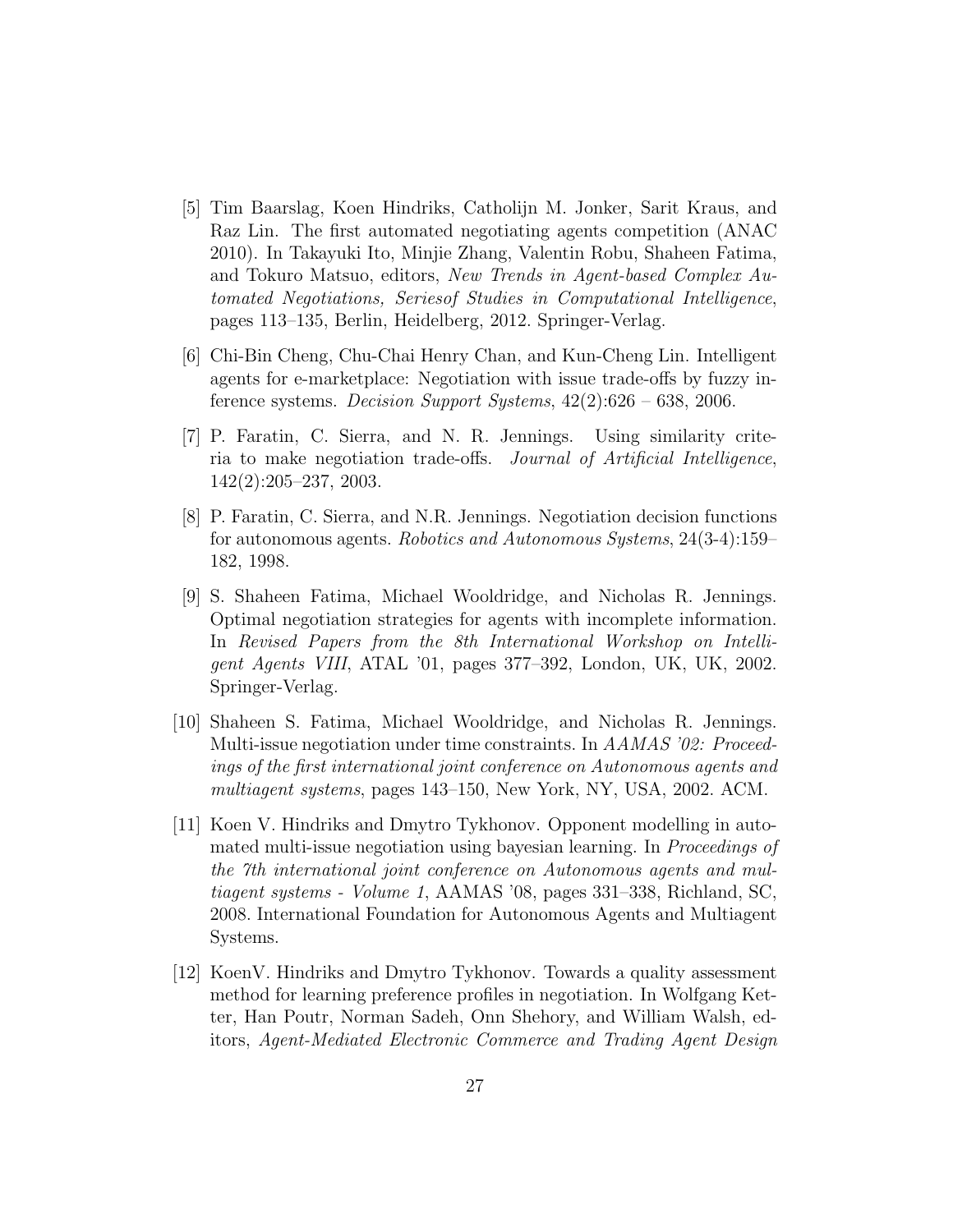- [5] Tim Baarslag, Koen Hindriks, Catholijn M. Jonker, Sarit Kraus, and Raz Lin. The first automated negotiating agents competition (ANAC 2010). In Takayuki Ito, Minjie Zhang, Valentin Robu, Shaheen Fatima, and Tokuro Matsuo, editors, New Trends in Agent-based Complex Automated Negotiations, Seriesof Studies in Computational Intelligence, pages 113–135, Berlin, Heidelberg, 2012. Springer-Verlag.
- [6] Chi-Bin Cheng, Chu-Chai Henry Chan, and Kun-Cheng Lin. Intelligent agents for e-marketplace: Negotiation with issue trade-offs by fuzzy inference systems. Decision Support Systems,  $42(2):626 - 638$ , 2006.
- [7] P. Faratin, C. Sierra, and N. R. Jennings. Using similarity criteria to make negotiation trade-offs. Journal of Artificial Intelligence, 142(2):205–237, 2003.
- [8] P. Faratin, C. Sierra, and N.R. Jennings. Negotiation decision functions for autonomous agents. Robotics and Autonomous Systems, 24(3-4):159– 182, 1998.
- [9] S. Shaheen Fatima, Michael Wooldridge, and Nicholas R. Jennings. Optimal negotiation strategies for agents with incomplete information. In Revised Papers from the 8th International Workshop on Intelligent Agents VIII, ATAL '01, pages 377–392, London, UK, UK, 2002. Springer-Verlag.
- [10] Shaheen S. Fatima, Michael Wooldridge, and Nicholas R. Jennings. Multi-issue negotiation under time constraints. In AAMAS '02: Proceedings of the first international joint conference on Autonomous agents and multiagent systems, pages 143–150, New York, NY, USA, 2002. ACM.
- [11] Koen V. Hindriks and Dmytro Tykhonov. Opponent modelling in automated multi-issue negotiation using bayesian learning. In Proceedings of the 7th international joint conference on Autonomous agents and multiagent systems - Volume 1, AAMAS '08, pages 331–338, Richland, SC, 2008. International Foundation for Autonomous Agents and Multiagent Systems.
- [12] KoenV. Hindriks and Dmytro Tykhonov. Towards a quality assessment method for learning preference profiles in negotiation. In Wolfgang Ketter, Han Poutr, Norman Sadeh, Onn Shehory, and William Walsh, editors, Agent-Mediated Electronic Commerce and Trading Agent Design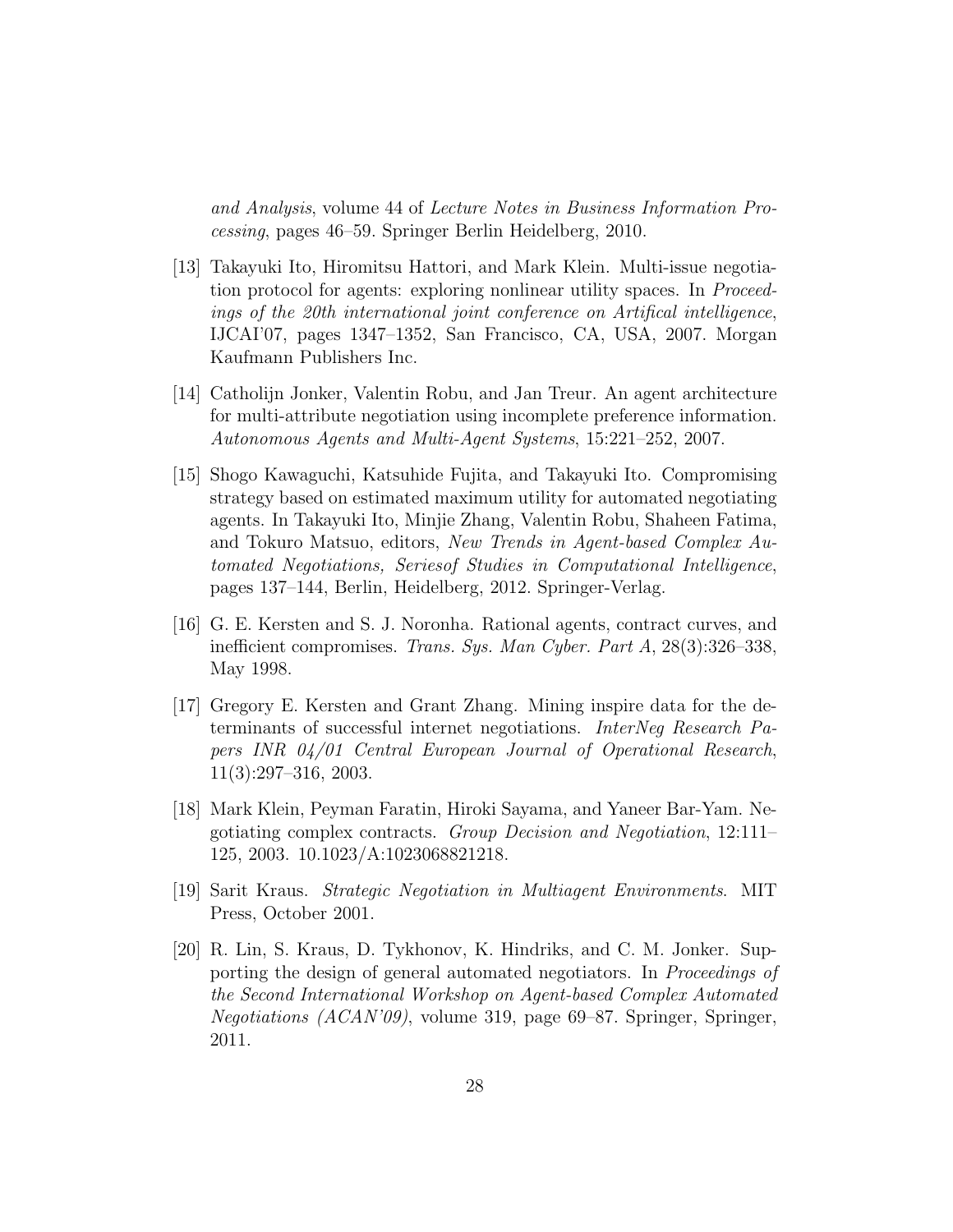and Analysis, volume 44 of Lecture Notes in Business Information Processing, pages 46–59. Springer Berlin Heidelberg, 2010.

- [13] Takayuki Ito, Hiromitsu Hattori, and Mark Klein. Multi-issue negotiation protocol for agents: exploring nonlinear utility spaces. In Proceedings of the 20th international joint conference on Artifical intelligence, IJCAI'07, pages 1347–1352, San Francisco, CA, USA, 2007. Morgan Kaufmann Publishers Inc.
- [14] Catholijn Jonker, Valentin Robu, and Jan Treur. An agent architecture for multi-attribute negotiation using incomplete preference information. Autonomous Agents and Multi-Agent Systems, 15:221–252, 2007.
- [15] Shogo Kawaguchi, Katsuhide Fujita, and Takayuki Ito. Compromising strategy based on estimated maximum utility for automated negotiating agents. In Takayuki Ito, Minjie Zhang, Valentin Robu, Shaheen Fatima, and Tokuro Matsuo, editors, New Trends in Agent-based Complex Automated Negotiations, Seriesof Studies in Computational Intelligence, pages 137–144, Berlin, Heidelberg, 2012. Springer-Verlag.
- [16] G. E. Kersten and S. J. Noronha. Rational agents, contract curves, and inefficient compromises. Trans. Sys. Man Cyber. Part A, 28(3):326–338, May 1998.
- [17] Gregory E. Kersten and Grant Zhang. Mining inspire data for the determinants of successful internet negotiations. InterNeg Research Papers INR 04/01 Central European Journal of Operational Research, 11(3):297–316, 2003.
- [18] Mark Klein, Peyman Faratin, Hiroki Sayama, and Yaneer Bar-Yam. Negotiating complex contracts. Group Decision and Negotiation, 12:111– 125, 2003. 10.1023/A:1023068821218.
- [19] Sarit Kraus. Strategic Negotiation in Multiagent Environments. MIT Press, October 2001.
- [20] R. Lin, S. Kraus, D. Tykhonov, K. Hindriks, and C. M. Jonker. Supporting the design of general automated negotiators. In Proceedings of the Second International Workshop on Agent-based Complex Automated Negotiations (ACAN'09), volume 319, page 69–87. Springer, Springer, 2011.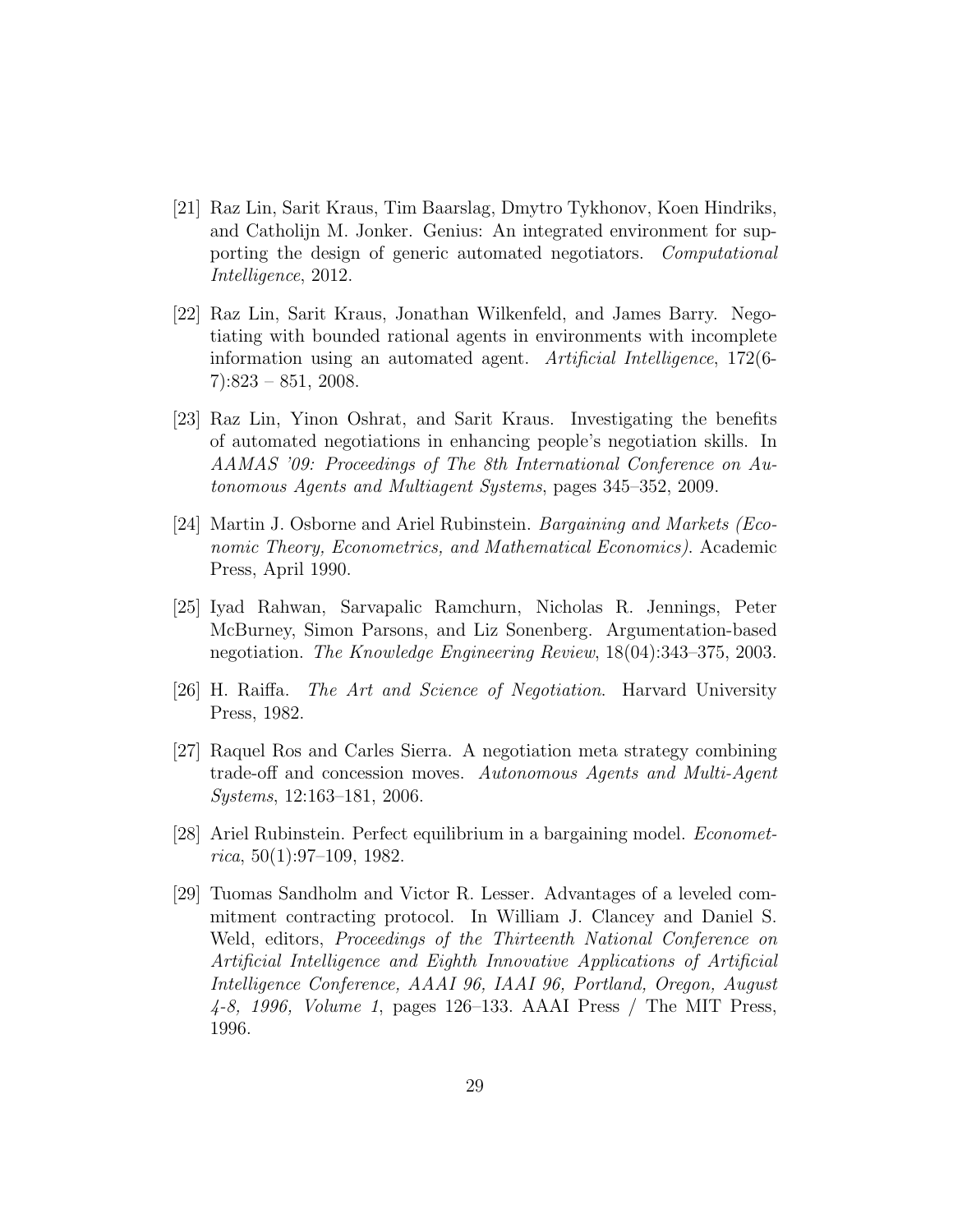- [21] Raz Lin, Sarit Kraus, Tim Baarslag, Dmytro Tykhonov, Koen Hindriks, and Catholijn M. Jonker. Genius: An integrated environment for supporting the design of generic automated negotiators. Computational Intelligence, 2012.
- [22] Raz Lin, Sarit Kraus, Jonathan Wilkenfeld, and James Barry. Negotiating with bounded rational agents in environments with incomplete information using an automated agent. Artificial Intelligence, 172(6-  $7):823 - 851, 2008.$
- [23] Raz Lin, Yinon Oshrat, and Sarit Kraus. Investigating the benefits of automated negotiations in enhancing people's negotiation skills. In AAMAS '09: Proceedings of The 8th International Conference on Autonomous Agents and Multiagent Systems, pages 345–352, 2009.
- [24] Martin J. Osborne and Ariel Rubinstein. Bargaining and Markets (Economic Theory, Econometrics, and Mathematical Economics). Academic Press, April 1990.
- [25] Iyad Rahwan, Sarvapalic Ramchurn, Nicholas R. Jennings, Peter McBurney, Simon Parsons, and Liz Sonenberg. Argumentation-based negotiation. The Knowledge Engineering Review, 18(04):343–375, 2003.
- [26] H. Raiffa. The Art and Science of Negotiation. Harvard University Press, 1982.
- [27] Raquel Ros and Carles Sierra. A negotiation meta strategy combining trade-off and concession moves. Autonomous Agents and Multi-Agent Systems, 12:163–181, 2006.
- [28] Ariel Rubinstein. Perfect equilibrium in a bargaining model. Economet $rica, 50(1):97-109, 1982.$
- [29] Tuomas Sandholm and Victor R. Lesser. Advantages of a leveled commitment contracting protocol. In William J. Clancey and Daniel S. Weld, editors, Proceedings of the Thirteenth National Conference on Artificial Intelligence and Eighth Innovative Applications of Artificial Intelligence Conference, AAAI 96, IAAI 96, Portland, Oregon, August 4-8, 1996, Volume 1, pages 126–133. AAAI Press / The MIT Press, 1996.